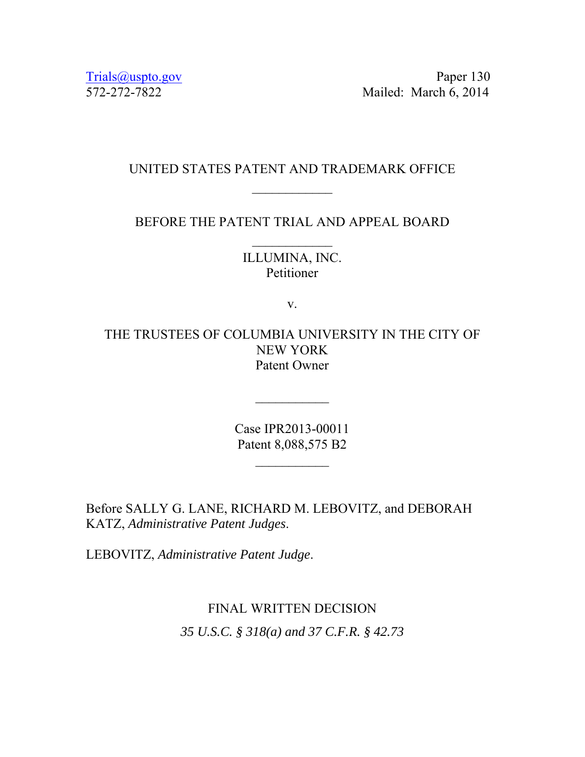Trials@uspto.gov Paper 130 572-272-7822 Mailed: March 6, 2014

### UNITED STATES PATENT AND TRADEMARK OFFICE

### BEFORE THE PATENT TRIAL AND APPEAL BOARD

### ILLUMINA, INC. Petitioner

v.

THE TRUSTEES OF COLUMBIA UNIVERSITY IN THE CITY OF NEW YORK Patent Owner

> Case IPR2013-00011 Patent 8,088,575 B2

Before SALLY G. LANE, RICHARD M. LEBOVITZ, and DEBORAH KATZ, *Administrative Patent Judges*.

LEBOVITZ, *Administrative Patent Judge*.

# FINAL WRITTEN DECISION *35 U.S.C. § 318(a) and 37 C.F.R. § 42.73*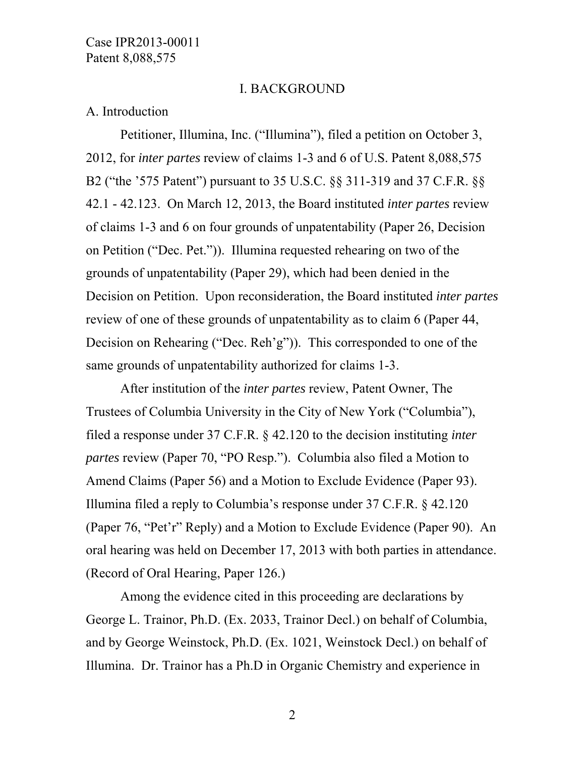#### I. BACKGROUND

#### A. Introduction

Petitioner, Illumina, Inc. ("Illumina"), filed a petition on October 3, 2012, for *inter partes* review of claims 1-3 and 6 of U.S. Patent 8,088,575 B2 ("the '575 Patent") pursuant to 35 U.S.C. §§ 311-319 and 37 C.F.R. §§ 42.1 - 42.123. On March 12, 2013, the Board instituted *inter partes* review of claims 1-3 and 6 on four grounds of unpatentability (Paper 26, Decision on Petition ("Dec. Pet.")). Illumina requested rehearing on two of the grounds of unpatentability (Paper 29), which had been denied in the Decision on Petition. Upon reconsideration, the Board instituted *inter partes* review of one of these grounds of unpatentability as to claim 6 (Paper 44, Decision on Rehearing ("Dec. Reh'g")). This corresponded to one of the same grounds of unpatentability authorized for claims 1-3.

 After institution of the *inter partes* review, Patent Owner, The Trustees of Columbia University in the City of New York ("Columbia"), filed a response under 37 C.F.R. § 42.120 to the decision instituting *inter partes* review (Paper 70, "PO Resp."). Columbia also filed a Motion to Amend Claims (Paper 56) and a Motion to Exclude Evidence (Paper 93). Illumina filed a reply to Columbia's response under 37 C.F.R. § 42.120 (Paper 76, "Pet'r" Reply) and a Motion to Exclude Evidence (Paper 90). An oral hearing was held on December 17, 2013 with both parties in attendance. (Record of Oral Hearing, Paper 126.)

 Among the evidence cited in this proceeding are declarations by George L. Trainor, Ph.D. (Ex. 2033, Trainor Decl.) on behalf of Columbia, and by George Weinstock, Ph.D. (Ex. 1021, Weinstock Decl.) on behalf of Illumina. Dr. Trainor has a Ph.D in Organic Chemistry and experience in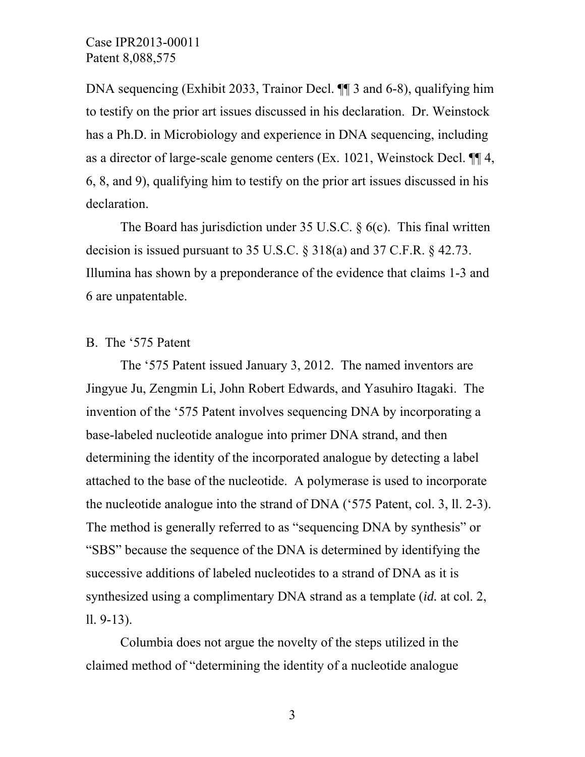DNA sequencing (Exhibit 2033, Trainor Decl. ¶¶ 3 and 6-8), qualifying him to testify on the prior art issues discussed in his declaration. Dr. Weinstock has a Ph.D. in Microbiology and experience in DNA sequencing, including as a director of large-scale genome centers (Ex. 1021, Weinstock Decl. ¶¶ 4, 6, 8, and 9), qualifying him to testify on the prior art issues discussed in his declaration.

The Board has jurisdiction under 35 U.S.C. § 6(c). This final written decision is issued pursuant to 35 U.S.C. § 318(a) and 37 C.F.R. § 42.73. Illumina has shown by a preponderance of the evidence that claims 1-3 and 6 are unpatentable.

#### B. The '575 Patent

The '575 Patent issued January 3, 2012. The named inventors are Jingyue Ju, Zengmin Li, John Robert Edwards, and Yasuhiro Itagaki. The invention of the '575 Patent involves sequencing DNA by incorporating a base-labeled nucleotide analogue into primer DNA strand, and then determining the identity of the incorporated analogue by detecting a label attached to the base of the nucleotide. A polymerase is used to incorporate the nucleotide analogue into the strand of DNA ('575 Patent, col. 3, ll. 2-3). The method is generally referred to as "sequencing DNA by synthesis" or "SBS" because the sequence of the DNA is determined by identifying the successive additions of labeled nucleotides to a strand of DNA as it is synthesized using a complimentary DNA strand as a template (*id.* at col. 2, ll. 9-13).

Columbia does not argue the novelty of the steps utilized in the claimed method of "determining the identity of a nucleotide analogue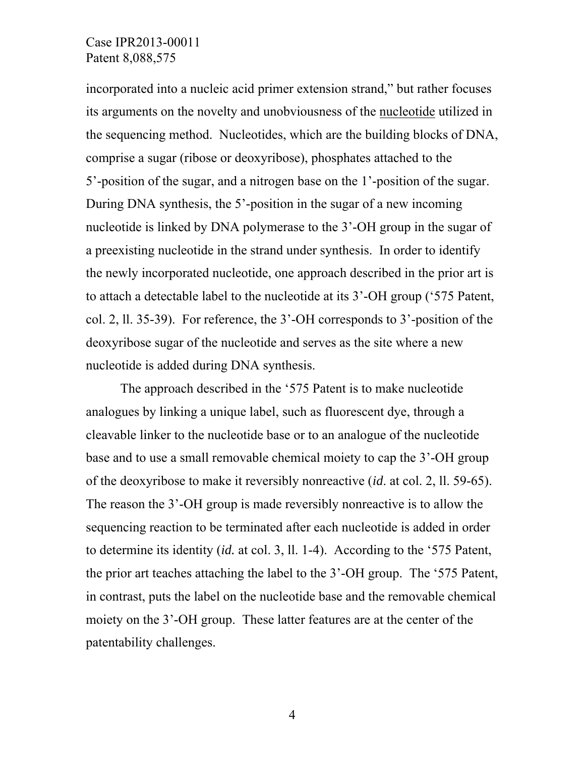incorporated into a nucleic acid primer extension strand," but rather focuses its arguments on the novelty and unobviousness of the nucleotide utilized in the sequencing method. Nucleotides, which are the building blocks of DNA, comprise a sugar (ribose or deoxyribose), phosphates attached to the 5'-position of the sugar, and a nitrogen base on the 1'-position of the sugar. During DNA synthesis, the 5'-position in the sugar of a new incoming nucleotide is linked by DNA polymerase to the 3'-OH group in the sugar of a preexisting nucleotide in the strand under synthesis. In order to identify the newly incorporated nucleotide, one approach described in the prior art is to attach a detectable label to the nucleotide at its 3'-OH group ('575 Patent, col. 2, ll. 35-39). For reference, the 3'-OH corresponds to 3'-position of the deoxyribose sugar of the nucleotide and serves as the site where a new nucleotide is added during DNA synthesis.

The approach described in the '575 Patent is to make nucleotide analogues by linking a unique label, such as fluorescent dye, through a cleavable linker to the nucleotide base or to an analogue of the nucleotide base and to use a small removable chemical moiety to cap the 3'-OH group of the deoxyribose to make it reversibly nonreactive (*id*. at col. 2, ll. 59-65). The reason the 3'-OH group is made reversibly nonreactive is to allow the sequencing reaction to be terminated after each nucleotide is added in order to determine its identity (*id.* at col. 3, ll. 1-4). According to the '575 Patent, the prior art teaches attaching the label to the 3'-OH group. The '575 Patent, in contrast, puts the label on the nucleotide base and the removable chemical moiety on the 3'-OH group. These latter features are at the center of the patentability challenges.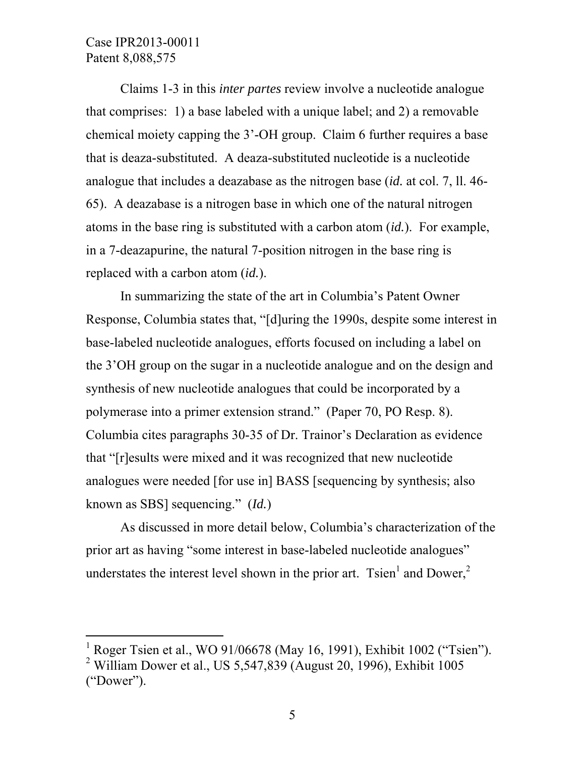$\overline{a}$ 

Claims 1-3 in this *inter partes* review involve a nucleotide analogue that comprises: 1) a base labeled with a unique label; and 2) a removable chemical moiety capping the 3'-OH group. Claim 6 further requires a base that is deaza-substituted. A deaza-substituted nucleotide is a nucleotide analogue that includes a deazabase as the nitrogen base (*id.* at col. 7, ll. 46- 65). A deazabase is a nitrogen base in which one of the natural nitrogen atoms in the base ring is substituted with a carbon atom (*id.*). For example, in a 7-deazapurine, the natural 7-position nitrogen in the base ring is replaced with a carbon atom (*id.*).

In summarizing the state of the art in Columbia's Patent Owner Response, Columbia states that, "[d]uring the 1990s, despite some interest in base-labeled nucleotide analogues, efforts focused on including a label on the 3'OH group on the sugar in a nucleotide analogue and on the design and synthesis of new nucleotide analogues that could be incorporated by a polymerase into a primer extension strand." (Paper 70, PO Resp. 8). Columbia cites paragraphs 30-35 of Dr. Trainor's Declaration as evidence that "[r]esults were mixed and it was recognized that new nucleotide analogues were needed [for use in] BASS [sequencing by synthesis; also known as SBS] sequencing." (*Id.*)

As discussed in more detail below, Columbia's characterization of the prior art as having "some interest in base-labeled nucleotide analogues" understates the interest level shown in the prior art. Tsien<sup>1</sup> and Dower,<sup>2</sup>

<sup>1</sup> Roger Tsien et al., WO 91/06678 (May 16, 1991), Exhibit 1002 ("Tsien").

<sup>&</sup>lt;sup>2</sup> William Dower et al., US 5,547,839 (August 20, 1996), Exhibit 1005 ("Dower").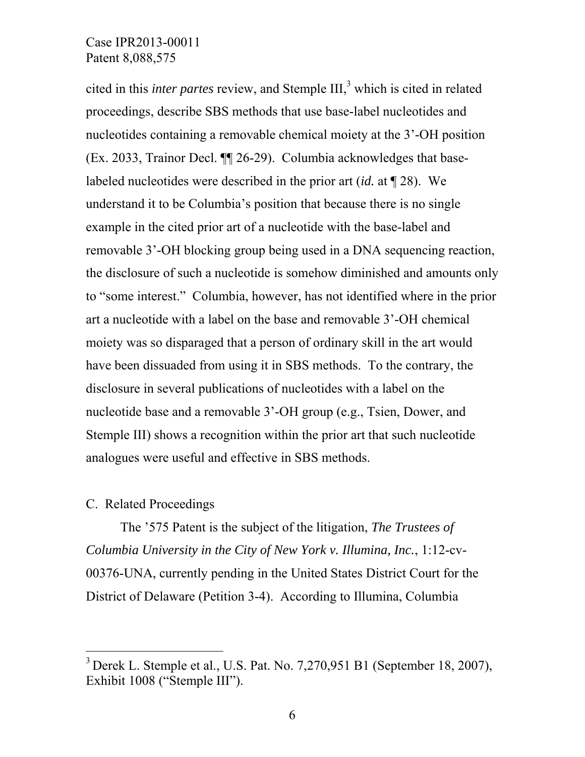cited in this *inter partes* review, and Stemple III,<sup>3</sup> which is cited in related proceedings, describe SBS methods that use base-label nucleotides and nucleotides containing a removable chemical moiety at the 3'-OH position (Ex. 2033, Trainor Decl. ¶¶ 26-29). Columbia acknowledges that baselabeled nucleotides were described in the prior art (*id.* at ¶ 28). We understand it to be Columbia's position that because there is no single example in the cited prior art of a nucleotide with the base-label and removable 3'-OH blocking group being used in a DNA sequencing reaction, the disclosure of such a nucleotide is somehow diminished and amounts only to "some interest." Columbia, however, has not identified where in the prior art a nucleotide with a label on the base and removable 3'-OH chemical moiety was so disparaged that a person of ordinary skill in the art would have been dissuaded from using it in SBS methods. To the contrary, the disclosure in several publications of nucleotides with a label on the nucleotide base and a removable 3'-OH group (e.g., Tsien, Dower, and Stemple III) shows a recognition within the prior art that such nucleotide analogues were useful and effective in SBS methods.

#### C. Related Proceedings

-

The '575 Patent is the subject of the litigation, *The Trustees of Columbia University in the City of New York v. Illumina, Inc.*, 1:12-cv-00376-UNA, currently pending in the United States District Court for the District of Delaware (Petition 3-4). According to Illumina, Columbia

 $3$  Derek L. Stemple et al., U.S. Pat. No. 7,270,951 B1 (September 18, 2007), Exhibit 1008 ("Stemple III").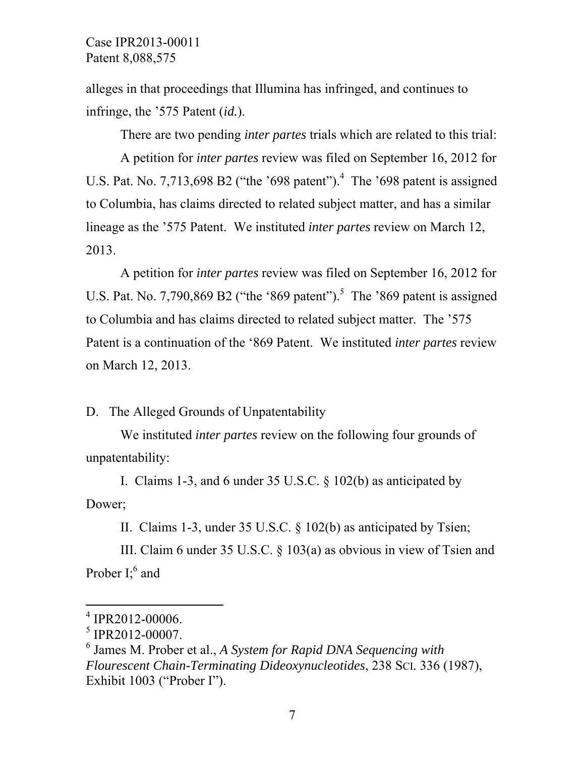alleges in that proceedings that Illumina has infringed, and continues to infringe, the '575 Patent (*id.*).

There are two pending *inter partes* trials which are related to this trial:

A petition for *inter partes* review was filed on September 16, 2012 for U.S. Pat. No.  $7,713,698$  B2 ("the '698 patent").<sup>4</sup> The '698 patent is assigned to Columbia, has claims directed to related subject matter, and has a similar lineage as the '575 Patent. We instituted *inter partes* review on March 12, 2013.

A petition for *inter partes* review was filed on September 16, 2012 for U.S. Pat. No. 7,790,869 B2 ("the '869 patent").<sup>5</sup> The '869 patent is assigned to Columbia and has claims directed to related subject matter. The '575 Patent is a continuation of the '869 Patent. We instituted *inter partes* review on March 12, 2013.

D. The Alleged Grounds of Unpatentability

 We instituted *inter partes* review on the following four grounds of unpatentability:

I. Claims 1-3, and 6 under 35 U.S.C. § 102(b) as anticipated by Dower;

II. Claims 1-3, under 35 U.S.C. § 102(b) as anticipated by Tsien;

III. Claim 6 under 35 U.S.C. § 103(a) as obvious in view of Tsien and Prober  $I;^6$  and

 $\overline{a}$ 

 $4$  IPR2012-00006.

<sup>5</sup> IPR2012-00007.

<sup>6</sup> James M. Prober et al., *A System for Rapid DNA Sequencing with Flourescent Chain-Terminating Dideoxynucleotides*, 238 SCI. 336 (1987), Exhibit 1003 ("Prober I").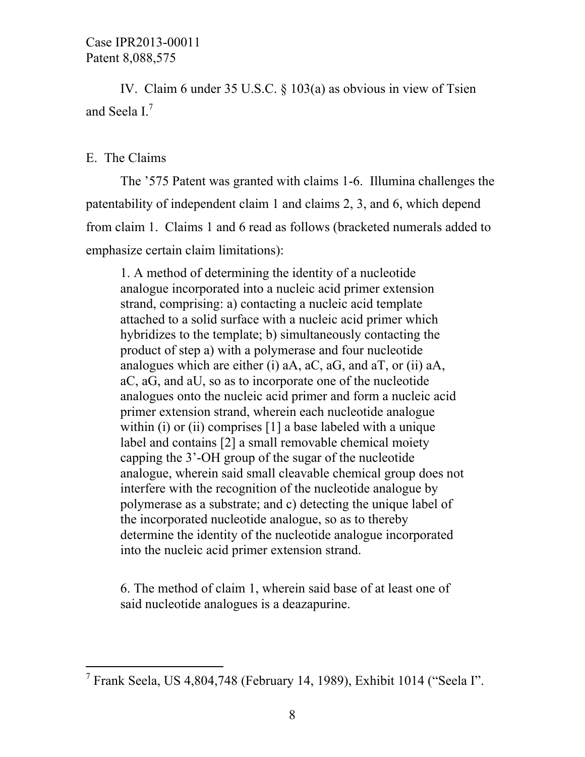IV. Claim 6 under 35 U.S.C. § 103(a) as obvious in view of Tsien and Seela  $I^7$ 

### E. The Claims

-

The '575 Patent was granted with claims 1-6. Illumina challenges the patentability of independent claim 1 and claims 2, 3, and 6, which depend from claim 1. Claims 1 and 6 read as follows (bracketed numerals added to emphasize certain claim limitations):

1. A method of determining the identity of a nucleotide analogue incorporated into a nucleic acid primer extension strand, comprising: a) contacting a nucleic acid template attached to a solid surface with a nucleic acid primer which hybridizes to the template; b) simultaneously contacting the product of step a) with a polymerase and four nucleotide analogues which are either (i) aA, aC, aG, and aT, or (ii) aA, aC, aG, and aU, so as to incorporate one of the nucleotide analogues onto the nucleic acid primer and form a nucleic acid primer extension strand, wherein each nucleotide analogue within (i) or (ii) comprises [1] a base labeled with a unique label and contains [2] a small removable chemical moiety capping the 3'-OH group of the sugar of the nucleotide analogue, wherein said small cleavable chemical group does not interfere with the recognition of the nucleotide analogue by polymerase as a substrate; and c) detecting the unique label of the incorporated nucleotide analogue, so as to thereby determine the identity of the nucleotide analogue incorporated into the nucleic acid primer extension strand.

6. The method of claim 1, wherein said base of at least one of said nucleotide analogues is a deazapurine.

<sup>&</sup>lt;sup>7</sup> Frank Seela, US 4,804,748 (February 14, 1989), Exhibit 1014 ("Seela I".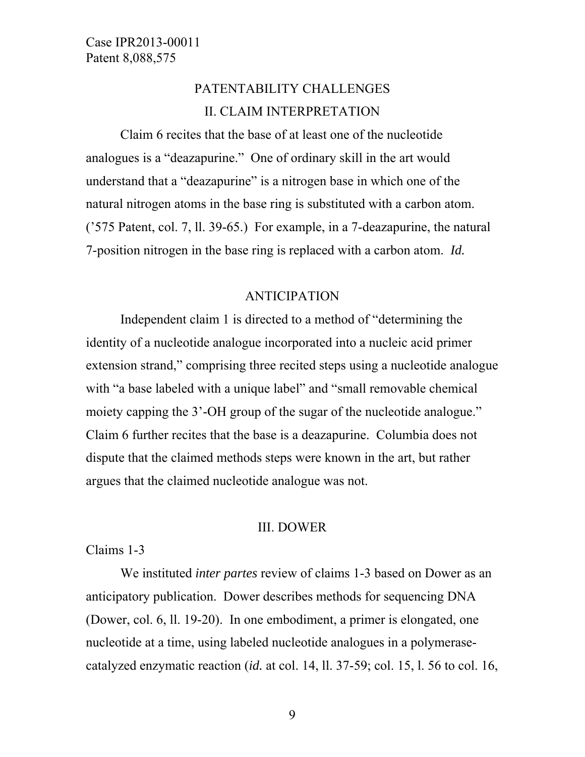## PATENTABILITY CHALLENGES II. CLAIM INTERPRETATION

 Claim 6 recites that the base of at least one of the nucleotide analogues is a "deazapurine." One of ordinary skill in the art would understand that a "deazapurine" is a nitrogen base in which one of the natural nitrogen atoms in the base ring is substituted with a carbon atom. ('575 Patent, col. 7, ll. 39-65.) For example, in a 7-deazapurine, the natural 7-position nitrogen in the base ring is replaced with a carbon atom. *Id.* 

#### ANTICIPATION

 Independent claim 1 is directed to a method of "determining the identity of a nucleotide analogue incorporated into a nucleic acid primer extension strand," comprising three recited steps using a nucleotide analogue with "a base labeled with a unique label" and "small removable chemical moiety capping the 3'-OH group of the sugar of the nucleotide analogue." Claim 6 further recites that the base is a deazapurine. Columbia does not dispute that the claimed methods steps were known in the art, but rather argues that the claimed nucleotide analogue was not.

#### III. DOWER

### Claims 1-3

We instituted *inter partes* review of claims 1-3 based on Dower as an anticipatory publication. Dower describes methods for sequencing DNA (Dower, col. 6, ll. 19-20). In one embodiment, a primer is elongated, one nucleotide at a time, using labeled nucleotide analogues in a polymerasecatalyzed enzymatic reaction (*id.* at col. 14, ll. 37-59; col. 15, l. 56 to col. 16,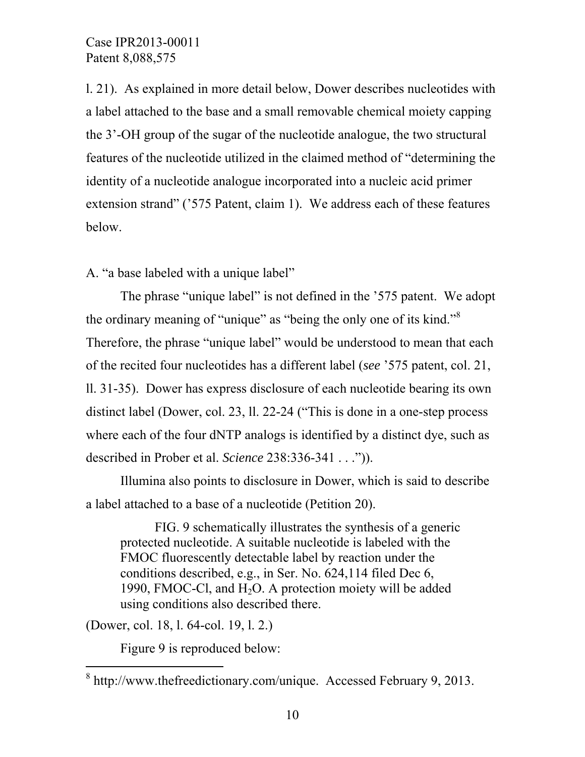l. 21). As explained in more detail below, Dower describes nucleotides with a label attached to the base and a small removable chemical moiety capping the 3'-OH group of the sugar of the nucleotide analogue, the two structural features of the nucleotide utilized in the claimed method of "determining the identity of a nucleotide analogue incorporated into a nucleic acid primer extension strand" ('575 Patent, claim 1). We address each of these features below.

A. "a base labeled with a unique label"

The phrase "unique label" is not defined in the '575 patent. We adopt the ordinary meaning of "unique" as "being the only one of its kind."<sup>8</sup> Therefore, the phrase "unique label" would be understood to mean that each of the recited four nucleotides has a different label (*see* '575 patent, col. 21, ll. 31-35). Dower has express disclosure of each nucleotide bearing its own distinct label (Dower, col. 23, ll. 22-24 ("This is done in a one-step process where each of the four dNTP analogs is identified by a distinct dye, such as described in Prober et al. *Science* 238:336-341 . . .")).

Illumina also points to disclosure in Dower, which is said to describe a label attached to a base of a nucleotide (Petition 20).

FIG. 9 schematically illustrates the synthesis of a generic protected nucleotide. A suitable nucleotide is labeled with the FMOC fluorescently detectable label by reaction under the conditions described, e.g., in Ser. No. 624,114 filed Dec 6, 1990, FMOC-Cl, and  $H_2O$ . A protection moiety will be added using conditions also described there.

(Dower, col. 18, l. 64-col. 19, l. 2.)

-

Figure 9 is reproduced below:

 $8$  http://www.thefreedictionary.com/unique. Accessed February 9, 2013.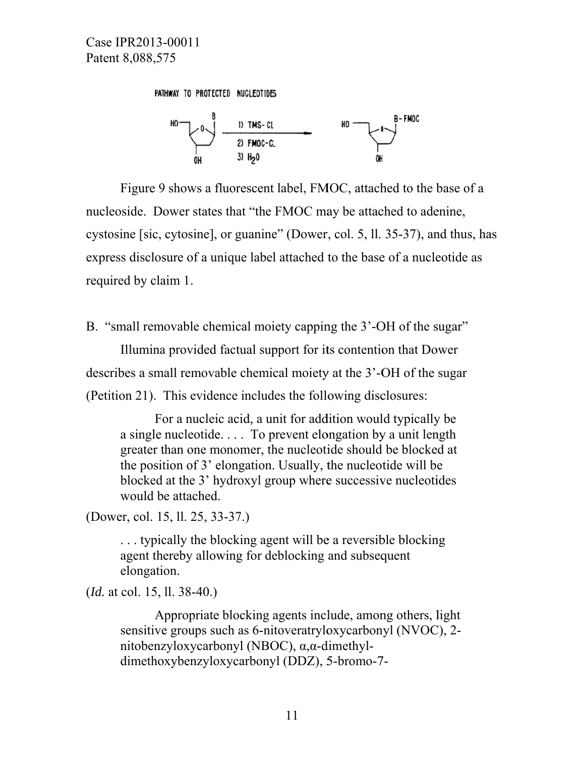PATHWAY TO PROTECTED NUCLEOTIDES



nucleoside. Dower states that "the FMOC may be attached to adenine, cystosine [sic, cytosine], or guanine" (Dower, col. 5, ll. 35-37), and thus, has express disclosure of a unique label attached to the base of a nucleotide as required by claim 1. Figure 9 shows a fluorescent label, FMOC, attached to the base of a

B. "small removable chemical moiety capping the 3'-OH of the sugar" describes a small removable chemical moiety at the 3'-OH of the sugar (Petition 21). This evidence includes the following disclosures: Illumina provided factual support for its contention that Dower

For a nucleic acid, a unit for addition would typically be a single nucleotide.... To prevent elongation by a unit length greater than one monomer, the nucleotide should be blocked at the position of 3' elongation. Usually, the nucleotide will be blocked at the 3' hydroxyl group where successive nucleotides would b e attached.

would be attached.<br>(Dower, col. 15, ll. 25, 33-37.)

... typically the blocking agent will be a reversible blocking agent thereby allowing for deblocking and subsequent elongati on.

(*Id.* at col. 15, ll. 38-40.)

Appropriate blocking agents include, among others, light sensitive groups such as 6-nitoveratryloxycarbonyl (NVOC), 2nitobenzyloxycarbonyl (NBOC), α, α-dimethyldimethoxybenzyloxycarbonyl (DDZ), 5-bromo-7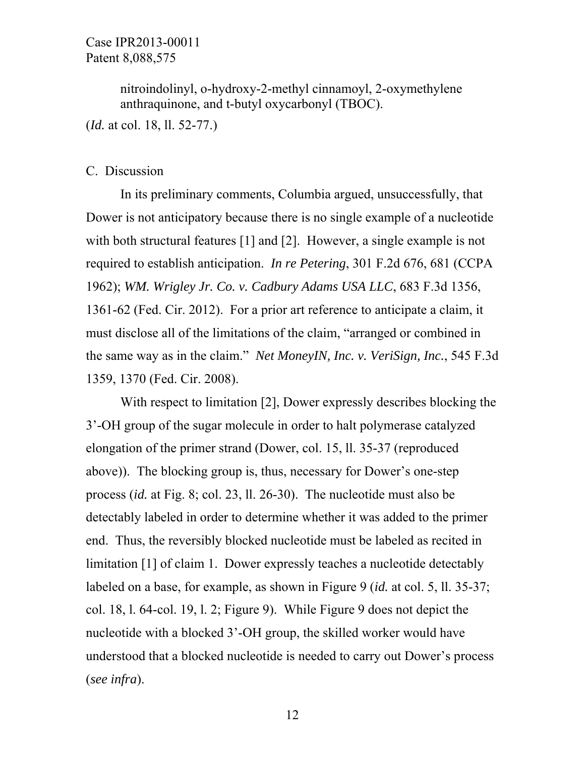nitroindolinyl, o-hydroxy-2-methyl cinnamoyl, 2-oxymethylene anthraquinone, and t-butyl oxycarbonyl (TBOC).

(*Id.* at col. 18, ll. 52-77.)

#### C. Discussion

 In its preliminary comments, Columbia argued, unsuccessfully, that Dower is not anticipatory because there is no single example of a nucleotide with both structural features [1] and [2]. However, a single example is not required to establish anticipation. *In re Petering*, 301 F.2d 676, 681 (CCPA 1962); *WM. Wrigley Jr. Co. v. Cadbury Adams USA LLC*, 683 F.3d 1356, 1361-62 (Fed. Cir. 2012). For a prior art reference to anticipate a claim, it must disclose all of the limitations of the claim, "arranged or combined in the same way as in the claim." *Net MoneyIN, Inc. v. VeriSign, Inc.*, 545 F.3d 1359, 1370 (Fed. Cir. 2008).

With respect to limitation [2], Dower expressly describes blocking the 3'-OH group of the sugar molecule in order to halt polymerase catalyzed elongation of the primer strand (Dower, col. 15, ll. 35-37 (reproduced above)). The blocking group is, thus, necessary for Dower's one-step process (*id.* at Fig. 8; col. 23, ll. 26-30). The nucleotide must also be detectably labeled in order to determine whether it was added to the primer end. Thus, the reversibly blocked nucleotide must be labeled as recited in limitation [1] of claim 1. Dower expressly teaches a nucleotide detectably labeled on a base, for example, as shown in Figure 9 (*id.* at col. 5, ll. 35-37; col. 18, l. 64-col. 19, l. 2; Figure 9). While Figure 9 does not depict the nucleotide with a blocked 3'-OH group, the skilled worker would have understood that a blocked nucleotide is needed to carry out Dower's process (*see infra*).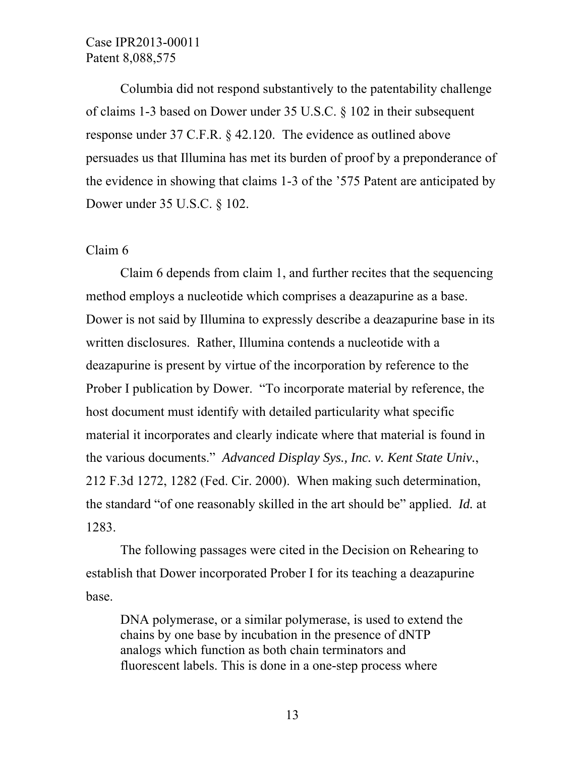Columbia did not respond substantively to the patentability challenge of claims 1-3 based on Dower under 35 U.S.C. § 102 in their subsequent response under 37 C.F.R. § 42.120. The evidence as outlined above persuades us that Illumina has met its burden of proof by a preponderance of the evidence in showing that claims 1-3 of the '575 Patent are anticipated by Dower under 35 U.S.C. § 102.

#### Claim 6

Claim 6 depends from claim 1, and further recites that the sequencing method employs a nucleotide which comprises a deazapurine as a base. Dower is not said by Illumina to expressly describe a deazapurine base in its written disclosures. Rather, Illumina contends a nucleotide with a deazapurine is present by virtue of the incorporation by reference to the Prober I publication by Dower. "To incorporate material by reference, the host document must identify with detailed particularity what specific material it incorporates and clearly indicate where that material is found in the various documents." *Advanced Display Sys., Inc. v. Kent State Univ.*, 212 F.3d 1272, 1282 (Fed. Cir. 2000). When making such determination, the standard "of one reasonably skilled in the art should be" applied. *Id.* at 1283.

The following passages were cited in the Decision on Rehearing to establish that Dower incorporated Prober I for its teaching a deazapurine base.

DNA polymerase, or a similar polymerase, is used to extend the chains by one base by incubation in the presence of dNTP analogs which function as both chain terminators and fluorescent labels. This is done in a one-step process where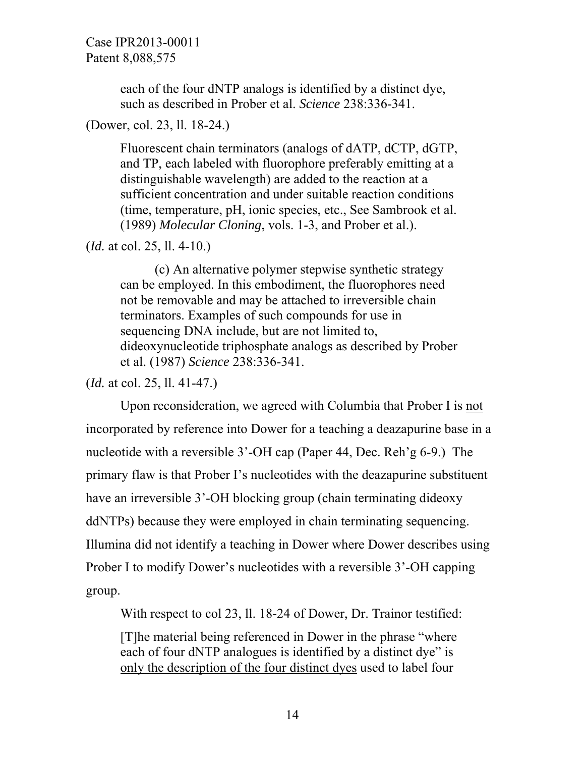each of the four dNTP analogs is identified by a distinct dye, such as described in Prober et al. *Science* 238:336-341.

### (Dower, col. 23, ll. 18-24.)

Fluorescent chain terminators (analogs of dATP, dCTP, dGTP, and TP, each labeled with fluorophore preferably emitting at a distinguishable wavelength) are added to the reaction at a sufficient concentration and under suitable reaction conditions (time, temperature, pH, ionic species, etc., See Sambrook et al. (1989) *Molecular Cloning*, vols. 1-3, and Prober et al.).

(*Id.* at col. 25, ll. 4-10.)

(c) An alternative polymer stepwise synthetic strategy can be employed. In this embodiment, the fluorophores need not be removable and may be attached to irreversible chain terminators. Examples of such compounds for use in sequencing DNA include, but are not limited to, dideoxynucleotide triphosphate analogs as described by Prober et al. (1987) *Science* 238:336-341.

### (*Id.* at col. 25, ll. 41-47.)

Upon reconsideration, we agreed with Columbia that Prober I is not incorporated by reference into Dower for a teaching a deazapurine base in a nucleotide with a reversible 3'-OH cap (Paper 44, Dec. Reh'g 6-9.) The primary flaw is that Prober I's nucleotides with the deazapurine substituent have an irreversible 3'-OH blocking group (chain terminating dideoxy ddNTPs) because they were employed in chain terminating sequencing. Illumina did not identify a teaching in Dower where Dower describes using Prober I to modify Dower's nucleotides with a reversible 3'-OH capping group.

With respect to col 23, ll. 18-24 of Dower, Dr. Trainor testified:

[T]he material being referenced in Dower in the phrase "where each of four dNTP analogues is identified by a distinct dye" is only the description of the four distinct dyes used to label four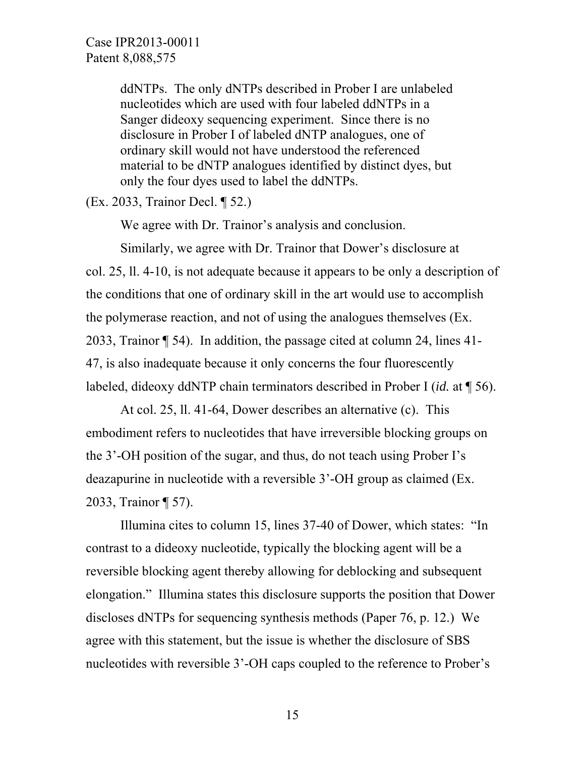ddNTPs. The only dNTPs described in Prober I are unlabeled nucleotides which are used with four labeled ddNTPs in a Sanger dideoxy sequencing experiment. Since there is no disclosure in Prober I of labeled dNTP analogues, one of ordinary skill would not have understood the referenced material to be dNTP analogues identified by distinct dyes, but only the four dyes used to label the ddNTPs.

(Ex. 2033, Trainor Decl. ¶ 52.)

We agree with Dr. Trainor's analysis and conclusion.

Similarly, we agree with Dr. Trainor that Dower's disclosure at col. 25, ll. 4-10, is not adequate because it appears to be only a description of the conditions that one of ordinary skill in the art would use to accomplish the polymerase reaction, and not of using the analogues themselves (Ex. 2033, Trainor ¶ 54). In addition, the passage cited at column 24, lines 41- 47, is also inadequate because it only concerns the four fluorescently labeled, dideoxy ddNTP chain terminators described in Prober I (*id.* at ¶ 56).

 At col. 25, ll. 41-64, Dower describes an alternative (c). This embodiment refers to nucleotides that have irreversible blocking groups on the 3'-OH position of the sugar, and thus, do not teach using Prober I's deazapurine in nucleotide with a reversible 3'-OH group as claimed (Ex. 2033, Trainor ¶ 57).

Illumina cites to column 15, lines 37-40 of Dower, which states: "In contrast to a dideoxy nucleotide, typically the blocking agent will be a reversible blocking agent thereby allowing for deblocking and subsequent elongation." Illumina states this disclosure supports the position that Dower discloses dNTPs for sequencing synthesis methods (Paper 76, p. 12.) We agree with this statement, but the issue is whether the disclosure of SBS nucleotides with reversible 3'-OH caps coupled to the reference to Prober's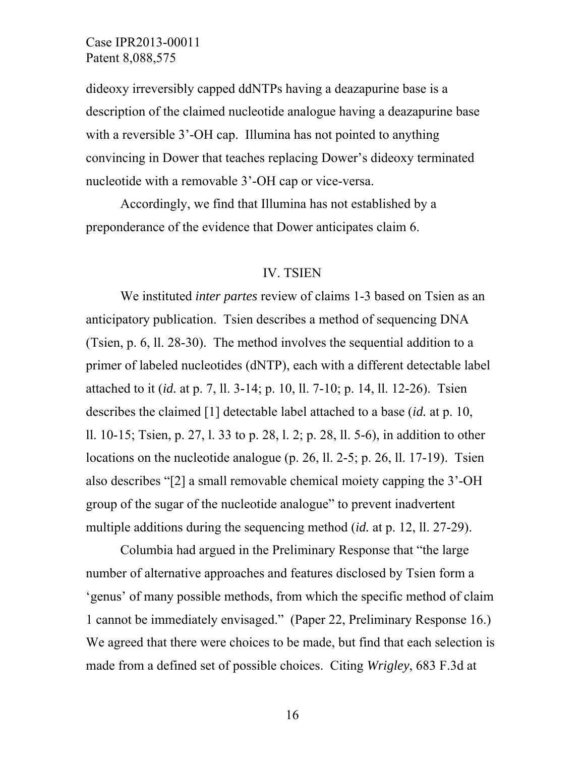dideoxy irreversibly capped ddNTPs having a deazapurine base is a description of the claimed nucleotide analogue having a deazapurine base with a reversible 3'-OH cap. Illumina has not pointed to anything convincing in Dower that teaches replacing Dower's dideoxy terminated nucleotide with a removable 3'-OH cap or vice-versa.

Accordingly, we find that Illumina has not established by a preponderance of the evidence that Dower anticipates claim 6.

#### IV. TSIEN

We instituted *inter partes* review of claims 1-3 based on Tsien as an anticipatory publication. Tsien describes a method of sequencing DNA (Tsien, p. 6, ll. 28-30). The method involves the sequential addition to a primer of labeled nucleotides (dNTP), each with a different detectable label attached to it (*id.* at p. 7, ll. 3-14; p. 10, ll. 7-10; p. 14, ll. 12-26). Tsien describes the claimed [1] detectable label attached to a base (*id.* at p. 10, ll. 10-15; Tsien, p. 27, l. 33 to p. 28, l. 2; p. 28, ll. 5-6), in addition to other locations on the nucleotide analogue (p. 26, ll. 2-5; p. 26, ll. 17-19). Tsien also describes "[2] a small removable chemical moiety capping the 3'-OH group of the sugar of the nucleotide analogue" to prevent inadvertent multiple additions during the sequencing method (*id.* at p. 12, ll. 27-29).

Columbia had argued in the Preliminary Response that "the large number of alternative approaches and features disclosed by Tsien form a 'genus' of many possible methods, from which the specific method of claim 1 cannot be immediately envisaged." (Paper 22, Preliminary Response 16.) We agreed that there were choices to be made, but find that each selection is made from a defined set of possible choices. Citing *Wrigley*, 683 F.3d at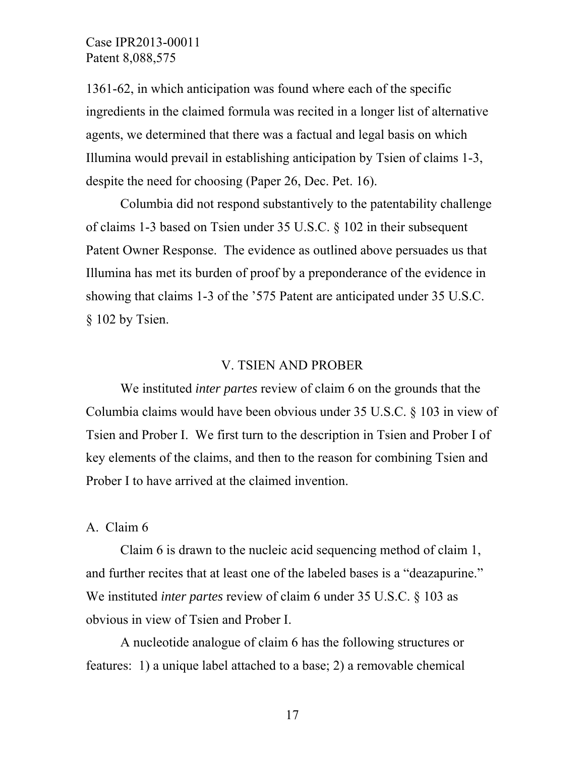1361-62, in which anticipation was found where each of the specific ingredients in the claimed formula was recited in a longer list of alternative agents, we determined that there was a factual and legal basis on which Illumina would prevail in establishing anticipation by Tsien of claims 1-3, despite the need for choosing (Paper 26, Dec. Pet. 16).

Columbia did not respond substantively to the patentability challenge of claims 1-3 based on Tsien under 35 U.S.C. § 102 in their subsequent Patent Owner Response. The evidence as outlined above persuades us that Illumina has met its burden of proof by a preponderance of the evidence in showing that claims 1-3 of the '575 Patent are anticipated under 35 U.S.C. § 102 by Tsien.

#### V. TSIEN AND PROBER

 We instituted *inter partes* review of claim 6 on the grounds that the Columbia claims would have been obvious under 35 U.S.C. § 103 in view of Tsien and Prober I. We first turn to the description in Tsien and Prober I of key elements of the claims, and then to the reason for combining Tsien and Prober I to have arrived at the claimed invention.

#### A. Claim 6

 Claim 6 is drawn to the nucleic acid sequencing method of claim 1, and further recites that at least one of the labeled bases is a "deazapurine." We instituted *inter partes* review of claim 6 under 35 U.S.C. § 103 as obvious in view of Tsien and Prober I.

A nucleotide analogue of claim 6 has the following structures or features: 1) a unique label attached to a base; 2) a removable chemical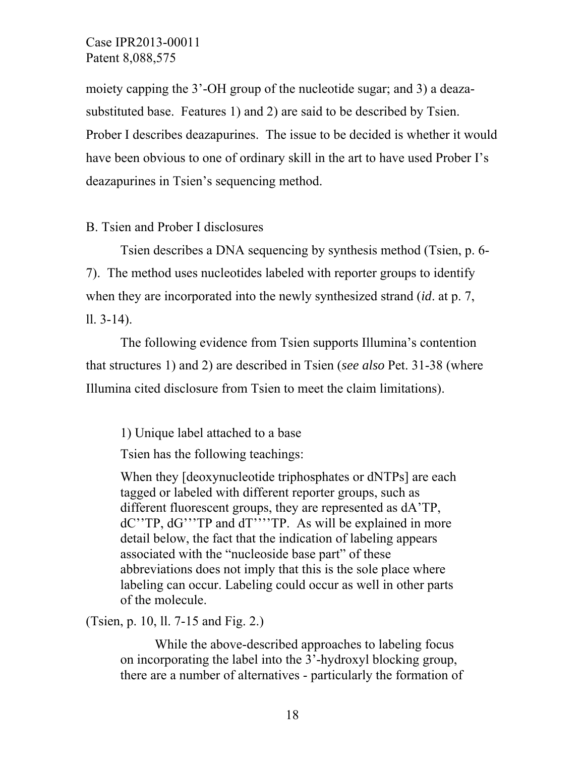moiety capping the 3'-OH group of the nucleotide sugar; and 3) a deazasubstituted base. Features 1) and 2) are said to be described by Tsien. Prober I describes deazapurines. The issue to be decided is whether it would have been obvious to one of ordinary skill in the art to have used Prober I's deazapurines in Tsien's sequencing method.

B. Tsien and Prober I disclosures

Tsien describes a DNA sequencing by synthesis method (Tsien, p. 6- 7). The method uses nucleotides labeled with reporter groups to identify when they are incorporated into the newly synthesized strand (*id*. at p. 7, ll. 3-14).

The following evidence from Tsien supports Illumina's contention that structures 1) and 2) are described in Tsien (*see also* Pet. 31-38 (where Illumina cited disclosure from Tsien to meet the claim limitations).

1) Unique label attached to a base

Tsien has the following teachings:

When they [deoxynucleotide triphosphates or dNTPs] are each tagged or labeled with different reporter groups, such as different fluorescent groups, they are represented as dA'TP, dC''TP, dG'''TP and dT''''TP. As will be explained in more detail below, the fact that the indication of labeling appears associated with the "nucleoside base part" of these abbreviations does not imply that this is the sole place where labeling can occur. Labeling could occur as well in other parts of the molecule.

(Tsien, p. 10, ll. 7-15 and Fig. 2.)

While the above-described approaches to labeling focus on incorporating the label into the 3'-hydroxyl blocking group, there are a number of alternatives - particularly the formation of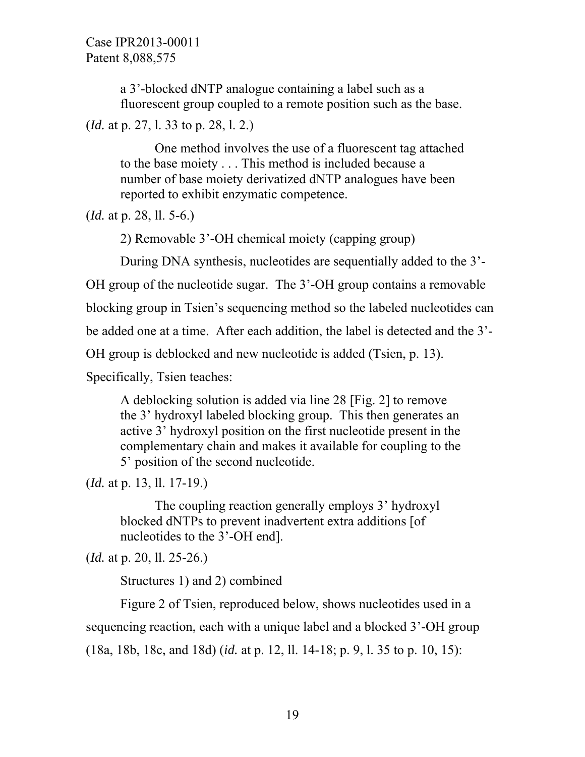a 3'-blocked dNTP analogue containing a label such as a fluorescent group coupled to a remote position such as the base.

(*Id.* at p. 27, l. 33 to p. 28, l. 2.)

One method involves the use of a fluorescent tag attached to the base moiety . . . This method is included because a number of base moiety derivatized dNTP analogues have been reported to exhibit enzymatic competence.

(*Id.* at p. 28, ll. 5-6.)

2) Removable 3'-OH chemical moiety (capping group)

During DNA synthesis, nucleotides are sequentially added to the 3'-

OH group of the nucleotide sugar. The 3'-OH group contains a removable

blocking group in Tsien's sequencing method so the labeled nucleotides can

be added one at a time. After each addition, the label is detected and the 3'-

OH group is deblocked and new nucleotide is added (Tsien, p. 13).

Specifically, Tsien teaches:

A deblocking solution is added via line 28 [Fig. 2] to remove the 3' hydroxyl labeled blocking group. This then generates an active 3' hydroxyl position on the first nucleotide present in the complementary chain and makes it available for coupling to the 5' position of the second nucleotide.

(*Id.* at p. 13, ll. 17-19.)

The coupling reaction generally employs 3' hydroxyl blocked dNTPs to prevent inadvertent extra additions [of nucleotides to the 3'-OH end].

(*Id.* at p. 20, ll. 25-26.)

Structures 1) and 2) combined

 Figure 2 of Tsien, reproduced below, shows nucleotides used in a sequencing reaction, each with a unique label and a blocked 3'-OH group (18a, 18b, 18c, and 18d) (*id.* at p. 12, ll. 14-18; p. 9, l. 35 to p. 10, 15):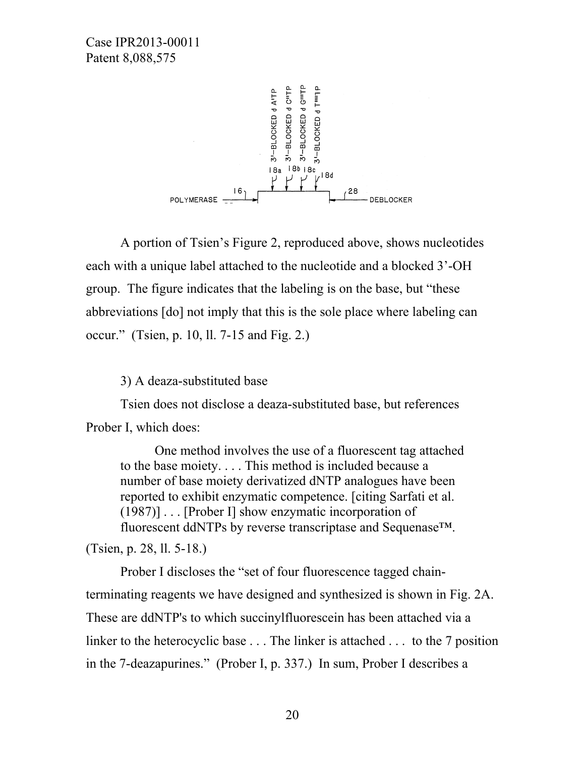

A portion of Tsien's Figure 2, reproduced above, shows nucleotides each with a unique label attached to the nucleotide and a blocked 3'-OH group. The figure indicates that the labeling is on the base, but "these abbreviations [do] not imply that this is the sole place where labeling can occur." (Tsien, p. 10, ll. 7-15 and Fig. 2.)

3) A deaza-substituted base

 Tsien does not disclose a deaza-substituted base, but references Prober I, which does:

One method involves the use of a fluorescent tag attached to the base moiety. . . . This method is included because a number of base moiety derivatized dNTP analogues have been reported to exhibit enzymatic competence. [citing Sarfati et al. (1987)] . . . [Prober I] show enzymatic incorporation of fluorescent ddNTPs by reverse transcriptase and Sequenase™.

(Tsien, p. 28, ll. 5-18.)

Prober I discloses the "set of four fluorescence tagged chainterminating reagents we have designed and synthesized is shown in Fig. 2A. These are ddNTP's to which succinylfluorescein has been attached via a linker to the heterocyclic base . . . The linker is attached . . . to the 7 position in the 7-deazapurines." (Prober I, p. 337.) In sum, Prober I describes a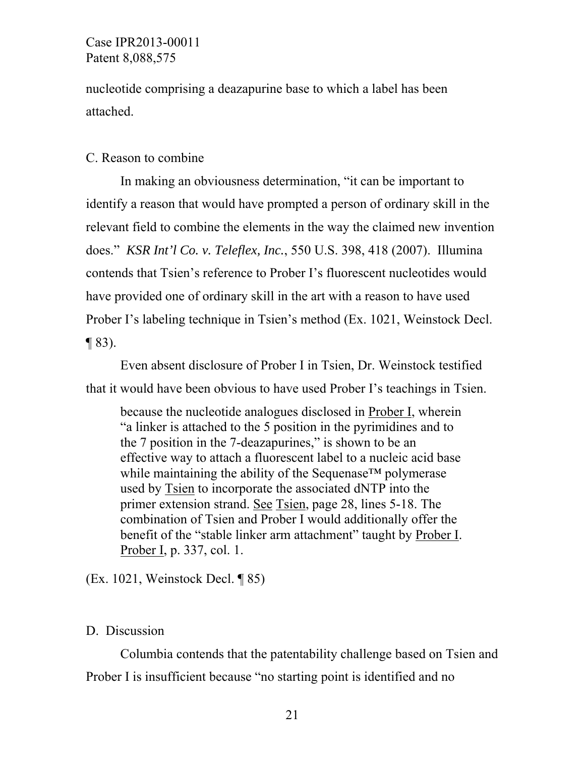nucleotide comprising a deazapurine base to which a label has been attached.

### C. Reason to combine

In making an obviousness determination, "it can be important to identify a reason that would have prompted a person of ordinary skill in the relevant field to combine the elements in the way the claimed new invention does." *KSR Int'l Co. v. Teleflex, Inc.*, 550 U.S. 398, 418 (2007). Illumina contends that Tsien's reference to Prober I's fluorescent nucleotides would have provided one of ordinary skill in the art with a reason to have used Prober I's labeling technique in Tsien's method (Ex. 1021, Weinstock Decl.  $\P$  83).

Even absent disclosure of Prober I in Tsien, Dr. Weinstock testified that it would have been obvious to have used Prober I's teachings in Tsien.

because the nucleotide analogues disclosed in Prober I, wherein "a linker is attached to the 5 position in the pyrimidines and to the 7 position in the 7-deazapurines," is shown to be an effective way to attach a fluorescent label to a nucleic acid base while maintaining the ability of the Sequenase™ polymerase used by Tsien to incorporate the associated dNTP into the primer extension strand. See Tsien, page 28, lines 5-18. The combination of Tsien and Prober I would additionally offer the benefit of the "stable linker arm attachment" taught by Prober I. Prober I, p. 337, col. 1.

(Ex. 1021, Weinstock Decl. ¶ 85)

D. Discussion

 Columbia contends that the patentability challenge based on Tsien and Prober I is insufficient because "no starting point is identified and no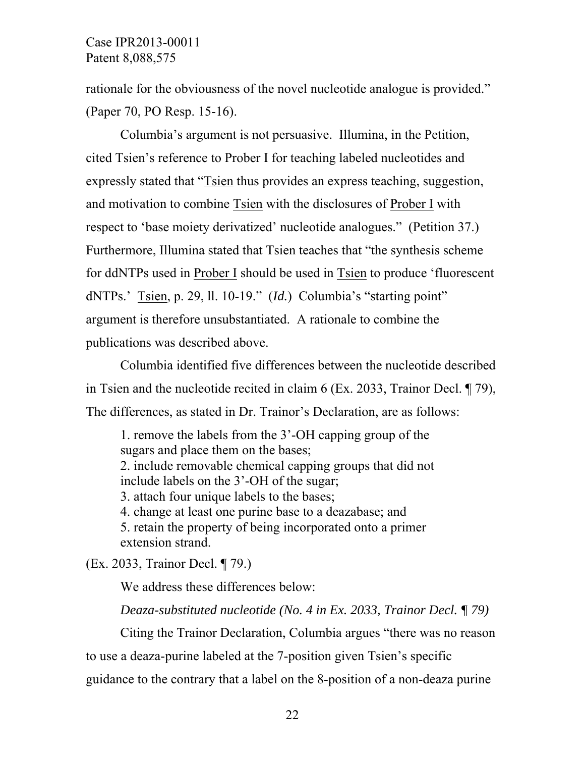rationale for the obviousness of the novel nucleotide analogue is provided." (Paper 70, PO Resp. 15-16).

Columbia's argument is not persuasive. Illumina, in the Petition, cited Tsien's reference to Prober I for teaching labeled nucleotides and expressly stated that "Tsien thus provides an express teaching, suggestion, and motivation to combine Tsien with the disclosures of Prober I with respect to 'base moiety derivatized' nucleotide analogues." (Petition 37.) Furthermore, Illumina stated that Tsien teaches that "the synthesis scheme for ddNTPs used in Prober I should be used in Tsien to produce 'fluorescent dNTPs.' Tsien, p. 29, ll. 10-19." (*Id.*) Columbia's "starting point" argument is therefore unsubstantiated. A rationale to combine the publications was described above.

 Columbia identified five differences between the nucleotide described in Tsien and the nucleotide recited in claim 6 (Ex. 2033, Trainor Decl. ¶ 79), The differences, as stated in Dr. Trainor's Declaration, are as follows:

1. remove the labels from the 3'-OH capping group of the sugars and place them on the bases; 2. include removable chemical capping groups that did not include labels on the 3'-OH of the sugar; 3. attach four unique labels to the bases; 4. change at least one purine base to a deazabase; and 5. retain the property of being incorporated onto a primer extension strand.

(Ex. 2033, Trainor Decl. ¶ 79.)

We address these differences below:

*Deaza-substituted nucleotide (No. 4 in Ex. 2033, Trainor Decl. ¶ 79)* 

 Citing the Trainor Declaration, Columbia argues "there was no reason to use a deaza-purine labeled at the 7-position given Tsien's specific guidance to the contrary that a label on the 8-position of a non-deaza purine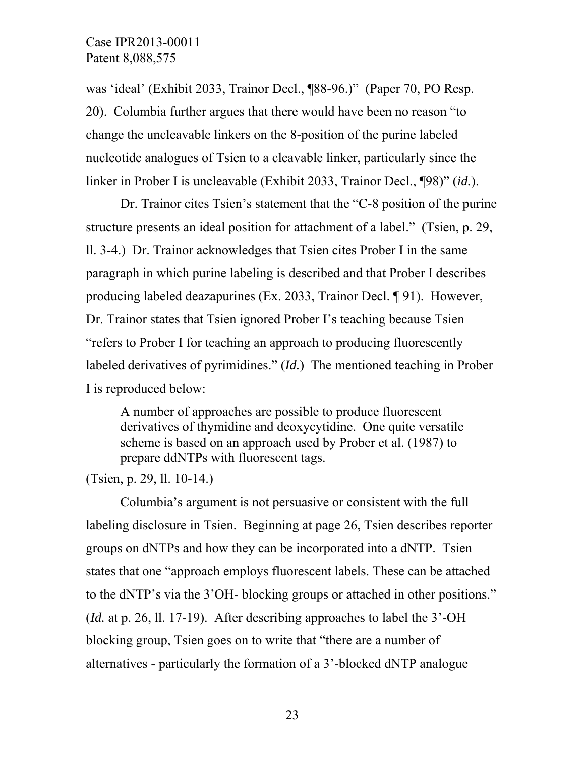was 'ideal' (Exhibit 2033, Trainor Decl., ¶88-96.)" (Paper 70, PO Resp. 20). Columbia further argues that there would have been no reason "to change the uncleavable linkers on the 8-position of the purine labeled nucleotide analogues of Tsien to a cleavable linker, particularly since the linker in Prober I is uncleavable (Exhibit 2033, Trainor Decl., ¶98)" (*id.*).

 Dr. Trainor cites Tsien's statement that the "C-8 position of the purine structure presents an ideal position for attachment of a label." (Tsien, p. 29, ll. 3-4.) Dr. Trainor acknowledges that Tsien cites Prober I in the same paragraph in which purine labeling is described and that Prober I describes producing labeled deazapurines (Ex. 2033, Trainor Decl. ¶ 91). However, Dr. Trainor states that Tsien ignored Prober I's teaching because Tsien "refers to Prober I for teaching an approach to producing fluorescently labeled derivatives of pyrimidines." (*Id.*) The mentioned teaching in Prober I is reproduced below:

A number of approaches are possible to produce fluorescent derivatives of thymidine and deoxycytidine. One quite versatile scheme is based on an approach used by Prober et al. (1987) to prepare ddNTPs with fluorescent tags.

(Tsien, p. 29, ll. 10-14.)

 Columbia's argument is not persuasive or consistent with the full labeling disclosure in Tsien. Beginning at page 26, Tsien describes reporter groups on dNTPs and how they can be incorporated into a dNTP. Tsien states that one "approach employs fluorescent labels. These can be attached to the dNTP's via the 3'OH- blocking groups or attached in other positions." (*Id.* at p. 26, ll. 17-19). After describing approaches to label the 3'-OH blocking group, Tsien goes on to write that "there are a number of alternatives - particularly the formation of a 3'-blocked dNTP analogue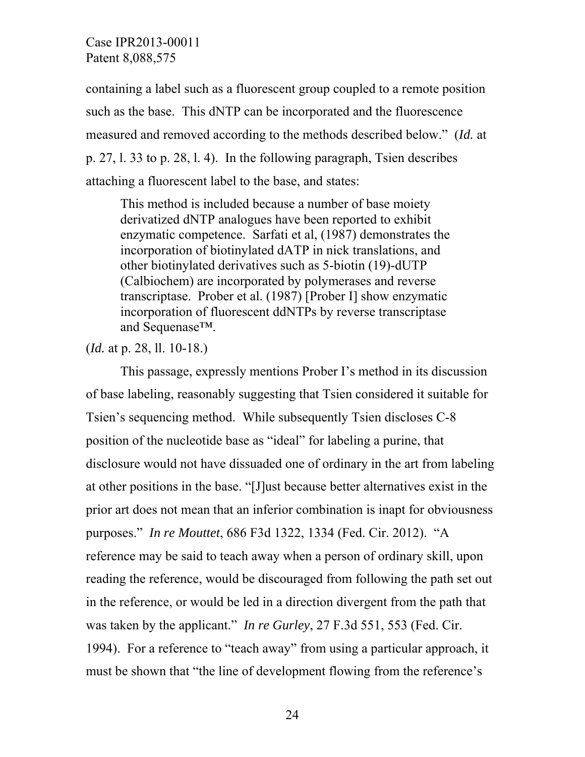containing a label such as a fluorescent group coupled to a remote position such as the base. This dNTP can be incorporated and the fluorescence measured and removed according to the methods described below." (*Id.* at p. 27, l. 33 to p. 28, l. 4). In the following paragraph, Tsien describes attaching a fluorescent label to the base, and states:

This method is included because a number of base moiety derivatized dNTP analogues have been reported to exhibit enzymatic competence. Sarfati et al, (1987) demonstrates the incorporation of biotinylated dATP in nick translations, and other biotinylated derivatives such as 5-biotin (19)-dUTP (Calbiochem) are incorporated by polymerases and reverse transcriptase. Prober et al. (1987) [Prober I] show enzymatic incorporation of fluorescent ddNTPs by reverse transcriptase and Sequenase™.

(*Id.* at p. 28, ll. 10-18.)

This passage, expressly mentions Prober I's method in its discussion of base labeling, reasonably suggesting that Tsien considered it suitable for Tsien's sequencing method. While subsequently Tsien discloses C-8 position of the nucleotide base as "ideal" for labeling a purine, that disclosure would not have dissuaded one of ordinary in the art from labeling at other positions in the base. "[J]ust because better alternatives exist in the prior art does not mean that an inferior combination is inapt for obviousness purposes." *In re Mouttet*, 686 F3d 1322, 1334 (Fed. Cir. 2012). "A reference may be said to teach away when a person of ordinary skill, upon reading the reference, would be discouraged from following the path set out in the reference, or would be led in a direction divergent from the path that was taken by the applicant." *In re Gurley*, 27 F.3d 551, 553 (Fed. Cir. 1994). For a reference to "teach away" from using a particular approach, it must be shown that "the line of development flowing from the reference's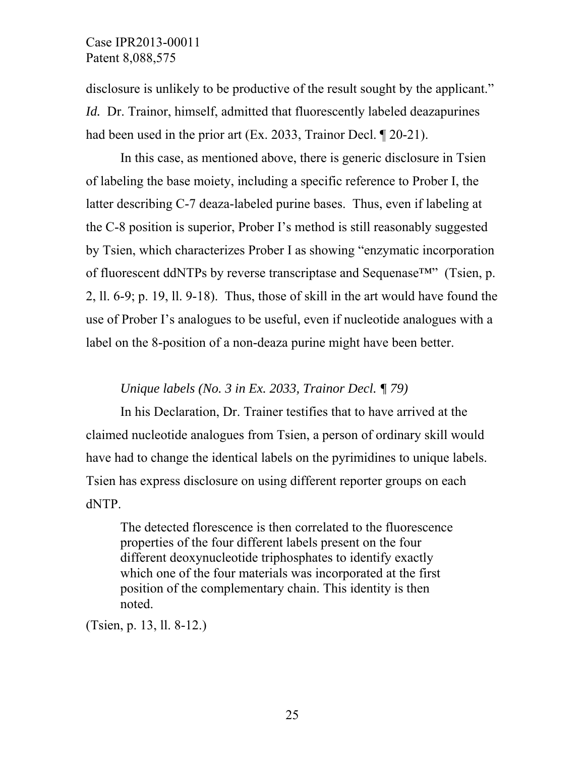disclosure is unlikely to be productive of the result sought by the applicant." *Id.* Dr. Trainor, himself, admitted that fluorescently labeled deazapurines had been used in the prior art (Ex. 2033, Trainor Decl. ¶ 20-21).

 In this case, as mentioned above, there is generic disclosure in Tsien of labeling the base moiety, including a specific reference to Prober I, the latter describing C-7 deaza-labeled purine bases. Thus, even if labeling at the C-8 position is superior, Prober I's method is still reasonably suggested by Tsien, which characterizes Prober I as showing "enzymatic incorporation of fluorescent ddNTPs by reverse transcriptase and Sequenase™" (Tsien, p. 2, ll. 6-9; p. 19, ll. 9-18). Thus, those of skill in the art would have found the use of Prober I's analogues to be useful, even if nucleotide analogues with a label on the 8-position of a non-deaza purine might have been better.

### *Unique labels (No. 3 in Ex. 2033, Trainor Decl. ¶ 79)*

 In his Declaration, Dr. Trainer testifies that to have arrived at the claimed nucleotide analogues from Tsien, a person of ordinary skill would have had to change the identical labels on the pyrimidines to unique labels. Tsien has express disclosure on using different reporter groups on each dNTP.

The detected florescence is then correlated to the fluorescence properties of the four different labels present on the four different deoxynucleotide triphosphates to identify exactly which one of the four materials was incorporated at the first position of the complementary chain. This identity is then noted.

(Tsien, p. 13, ll. 8-12.)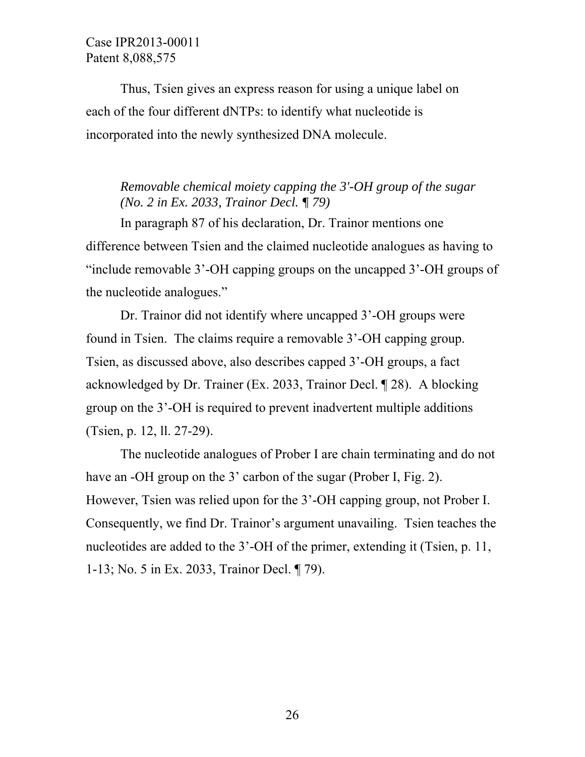Thus, Tsien gives an express reason for using a unique label on each of the four different dNTPs: to identify what nucleotide is incorporated into the newly synthesized DNA molecule.

### *Removable chemical moiety capping the 3'-OH group of the sugar (No. 2 in Ex. 2033, Trainor Decl. ¶ 79)*

 In paragraph 87 of his declaration, Dr. Trainor mentions one difference between Tsien and the claimed nucleotide analogues as having to "include removable 3'-OH capping groups on the uncapped 3'-OH groups of the nucleotide analogues."

 Dr. Trainor did not identify where uncapped 3'-OH groups were found in Tsien. The claims require a removable 3'-OH capping group. Tsien, as discussed above, also describes capped 3'-OH groups, a fact acknowledged by Dr. Trainer (Ex. 2033, Trainor Decl. ¶ 28). A blocking group on the 3'-OH is required to prevent inadvertent multiple additions (Tsien, p. 12, ll. 27-29).

The nucleotide analogues of Prober I are chain terminating and do not have an -OH group on the 3' carbon of the sugar (Prober I, Fig. 2). However, Tsien was relied upon for the 3'-OH capping group, not Prober I. Consequently, we find Dr. Trainor's argument unavailing. Tsien teaches the nucleotides are added to the 3'-OH of the primer, extending it (Tsien, p. 11, 1-13; No. 5 in Ex. 2033, Trainor Decl. ¶ 79).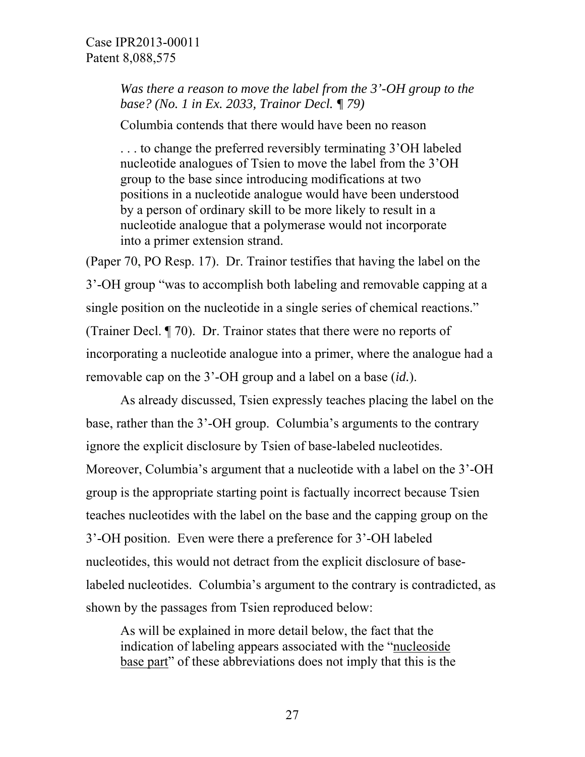*Was there a reason to move the label from the 3'-OH group to the base? (No. 1 in Ex. 2033, Trainor Decl. ¶ 79)* 

Columbia contends that there would have been no reason

. . . to change the preferred reversibly terminating 3'OH labeled nucleotide analogues of Tsien to move the label from the 3'OH group to the base since introducing modifications at two positions in a nucleotide analogue would have been understood by a person of ordinary skill to be more likely to result in a nucleotide analogue that a polymerase would not incorporate into a primer extension strand.

(Paper 70, PO Resp. 17). Dr. Trainor testifies that having the label on the 3'-OH group "was to accomplish both labeling and removable capping at a single position on the nucleotide in a single series of chemical reactions." (Trainer Decl. ¶ 70). Dr. Trainor states that there were no reports of incorporating a nucleotide analogue into a primer, where the analogue had a removable cap on the 3'-OH group and a label on a base (*id.*).

 As already discussed, Tsien expressly teaches placing the label on the base, rather than the 3'-OH group. Columbia's arguments to the contrary ignore the explicit disclosure by Tsien of base-labeled nucleotides. Moreover, Columbia's argument that a nucleotide with a label on the 3'-OH group is the appropriate starting point is factually incorrect because Tsien teaches nucleotides with the label on the base and the capping group on the 3'-OH position. Even were there a preference for 3'-OH labeled nucleotides, this would not detract from the explicit disclosure of baselabeled nucleotides. Columbia's argument to the contrary is contradicted, as shown by the passages from Tsien reproduced below:

As will be explained in more detail below, the fact that the indication of labeling appears associated with the "nucleoside base part" of these abbreviations does not imply that this is the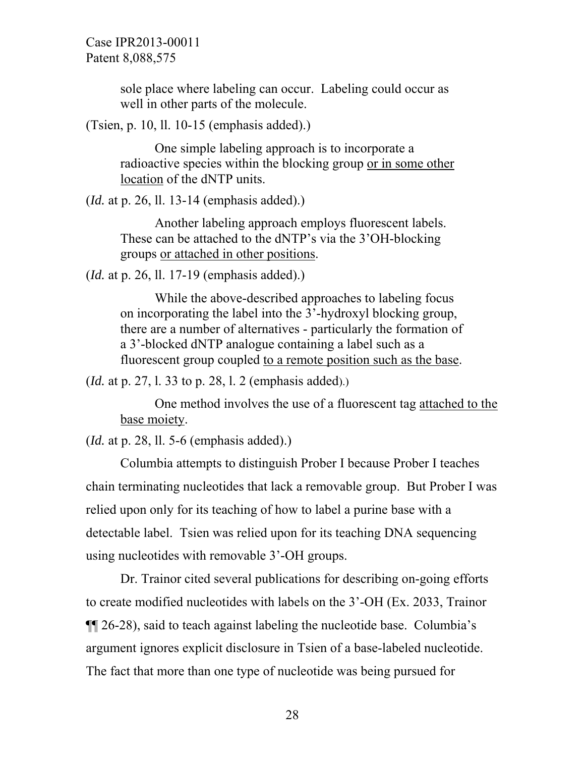> sole place where labeling can occur. Labeling could occur as well in other parts of the molecule.

(Tsien, p. 10, ll. 10-15 (emphasis added).)

One simple labeling approach is to incorporate a radioactive species within the blocking group or in some other location of the dNTP units.

(*Id.* at p. 26, ll. 13-14 (emphasis added).)

Another labeling approach employs fluorescent labels. These can be attached to the dNTP's via the 3'OH-blocking groups or attached in other positions.

(*Id.* at p. 26, ll. 17-19 (emphasis added).)

While the above-described approaches to labeling focus on incorporating the label into the 3'-hydroxyl blocking group, there are a number of alternatives - particularly the formation of a 3'-blocked dNTP analogue containing a label such as a fluorescent group coupled to a remote position such as the base.

(*Id.* at p. 27, l. 33 to p. 28, l. 2 (emphasis added).)

One method involves the use of a fluorescent tag attached to the base moiety.

(*Id.* at p. 28, ll. 5-6 (emphasis added).)

Columbia attempts to distinguish Prober I because Prober I teaches chain terminating nucleotides that lack a removable group. But Prober I was relied upon only for its teaching of how to label a purine base with a detectable label. Tsien was relied upon for its teaching DNA sequencing using nucleotides with removable 3'-OH groups.

Dr. Trainor cited several publications for describing on-going efforts to create modified nucleotides with labels on the 3'-OH (Ex. 2033, Trainor ¶¶ 26-28), said to teach against labeling the nucleotide base. Columbia's argument ignores explicit disclosure in Tsien of a base-labeled nucleotide. The fact that more than one type of nucleotide was being pursued for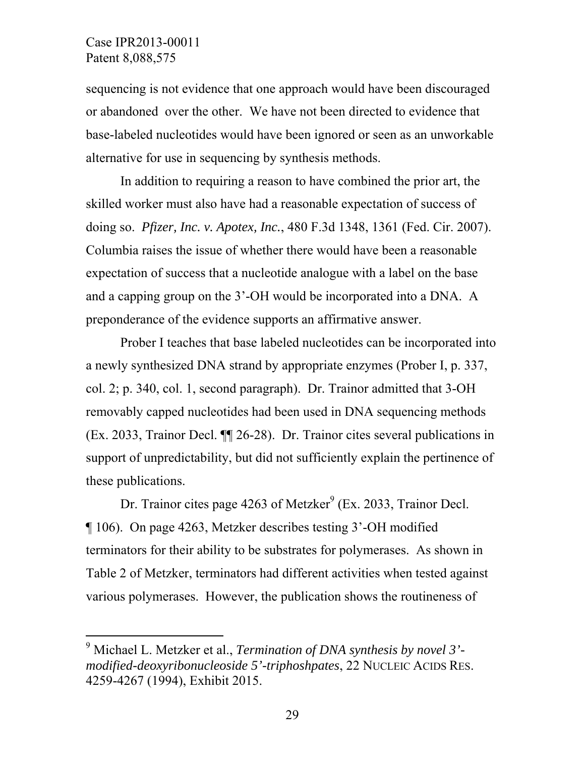$\overline{a}$ 

sequencing is not evidence that one approach would have been discouraged or abandoned over the other. We have not been directed to evidence that base-labeled nucleotides would have been ignored or seen as an unworkable alternative for use in sequencing by synthesis methods.

In addition to requiring a reason to have combined the prior art, the skilled worker must also have had a reasonable expectation of success of doing so. *Pfizer, Inc. v. Apotex, Inc.*, 480 F.3d 1348, 1361 (Fed. Cir. 2007). Columbia raises the issue of whether there would have been a reasonable expectation of success that a nucleotide analogue with a label on the base and a capping group on the 3'-OH would be incorporated into a DNA. A preponderance of the evidence supports an affirmative answer.

Prober I teaches that base labeled nucleotides can be incorporated into a newly synthesized DNA strand by appropriate enzymes (Prober I, p. 337, col. 2; p. 340, col. 1, second paragraph). Dr. Trainor admitted that 3-OH removably capped nucleotides had been used in DNA sequencing methods (Ex. 2033, Trainor Decl. ¶¶ 26-28). Dr. Trainor cites several publications in support of unpredictability, but did not sufficiently explain the pertinence of these publications.

Dr. Trainor cites page 4263 of Metzker<sup>9</sup> (Ex. 2033, Trainor Decl. ¶ 106). On page 4263, Metzker describes testing 3'-OH modified terminators for their ability to be substrates for polymerases. As shown in Table 2 of Metzker, terminators had different activities when tested against various polymerases. However, the publication shows the routineness of

<sup>9</sup> Michael L. Metzker et al., *Termination of DNA synthesis by novel 3' modified-deoxyribonucleoside 5'-triphoshpates*, 22 NUCLEIC ACIDS RES. 4259-4267 (1994), Exhibit 2015.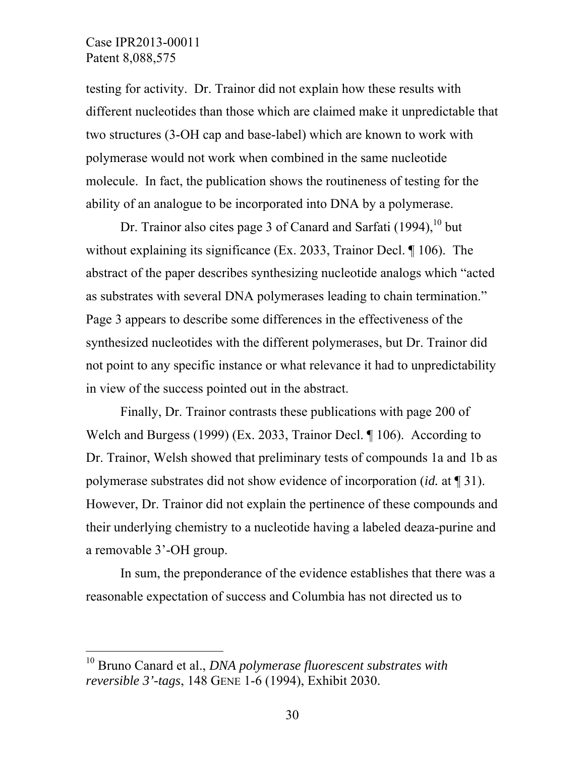-

testing for activity. Dr. Trainor did not explain how these results with different nucleotides than those which are claimed make it unpredictable that two structures (3-OH cap and base-label) which are known to work with polymerase would not work when combined in the same nucleotide molecule. In fact, the publication shows the routineness of testing for the ability of an analogue to be incorporated into DNA by a polymerase.

Dr. Trainor also cites page 3 of Canard and Sarfati  $(1994)$ ,  $^{10}$  but without explaining its significance (Ex. 2033, Trainor Decl. ¶ 106). The abstract of the paper describes synthesizing nucleotide analogs which "acted as substrates with several DNA polymerases leading to chain termination." Page 3 appears to describe some differences in the effectiveness of the synthesized nucleotides with the different polymerases, but Dr. Trainor did not point to any specific instance or what relevance it had to unpredictability in view of the success pointed out in the abstract.

Finally, Dr. Trainor contrasts these publications with page 200 of Welch and Burgess (1999) (Ex. 2033, Trainor Decl. ¶ 106). According to Dr. Trainor, Welsh showed that preliminary tests of compounds 1a and 1b as polymerase substrates did not show evidence of incorporation (*id.* at ¶ 31). However, Dr. Trainor did not explain the pertinence of these compounds and their underlying chemistry to a nucleotide having a labeled deaza-purine and a removable 3'-OH group.

In sum, the preponderance of the evidence establishes that there was a reasonable expectation of success and Columbia has not directed us to

<sup>10</sup> Bruno Canard et al., *DNA polymerase fluorescent substrates with reversible 3'-tags*, 148 GENE 1-6 (1994), Exhibit 2030.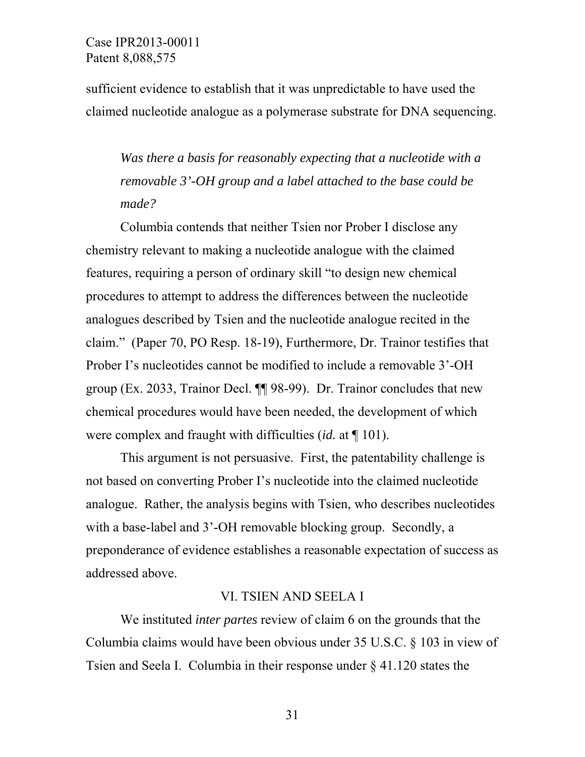sufficient evidence to establish that it was unpredictable to have used the claimed nucleotide analogue as a polymerase substrate for DNA sequencing.

*Was there a basis for reasonably expecting that a nucleotide with a removable 3'-OH group and a label attached to the base could be made?* 

 Columbia contends that neither Tsien nor Prober I disclose any chemistry relevant to making a nucleotide analogue with the claimed features, requiring a person of ordinary skill "to design new chemical procedures to attempt to address the differences between the nucleotide analogues described by Tsien and the nucleotide analogue recited in the claim." (Paper 70, PO Resp. 18-19), Furthermore, Dr. Trainor testifies that Prober I's nucleotides cannot be modified to include a removable 3'-OH group (Ex. 2033, Trainor Decl. ¶¶ 98-99). Dr. Trainor concludes that new chemical procedures would have been needed, the development of which were complex and fraught with difficulties (*id.* at ¶ 101).

 This argument is not persuasive. First, the patentability challenge is not based on converting Prober I's nucleotide into the claimed nucleotide analogue. Rather, the analysis begins with Tsien, who describes nucleotides with a base-label and 3'-OH removable blocking group. Secondly, a preponderance of evidence establishes a reasonable expectation of success as addressed above.

#### VI. TSIEN AND SEELA I

We instituted *inter partes* review of claim 6 on the grounds that the Columbia claims would have been obvious under 35 U.S.C. § 103 in view of Tsien and Seela I. Columbia in their response under § 41.120 states the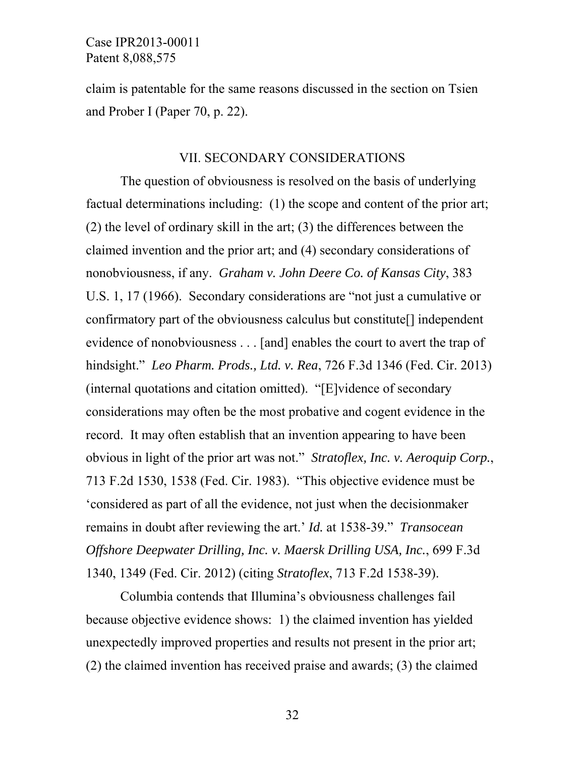claim is patentable for the same reasons discussed in the section on Tsien and Prober I (Paper 70, p. 22).

#### VII. SECONDARY CONSIDERATIONS

The question of obviousness is resolved on the basis of underlying factual determinations including: (1) the scope and content of the prior art; (2) the level of ordinary skill in the art; (3) the differences between the claimed invention and the prior art; and (4) secondary considerations of nonobviousness, if any. *Graham v. John Deere Co. of Kansas City*, 383 U.S. 1, 17 (1966). Secondary considerations are "not just a cumulative or confirmatory part of the obviousness calculus but constitute[] independent evidence of nonobviousness . . . [and] enables the court to avert the trap of hindsight." *Leo Pharm. Prods., Ltd. v. Rea*, 726 F.3d 1346 (Fed. Cir. 2013) (internal quotations and citation omitted). "[E]vidence of secondary considerations may often be the most probative and cogent evidence in the record. It may often establish that an invention appearing to have been obvious in light of the prior art was not." *Stratoflex, Inc. v. Aeroquip Corp.*, 713 F.2d 1530, 1538 (Fed. Cir. 1983). "This objective evidence must be 'considered as part of all the evidence, not just when the decisionmaker remains in doubt after reviewing the art.' *Id.* at 1538-39." *Transocean Offshore Deepwater Drilling, Inc. v. Maersk Drilling USA, Inc.*, 699 F.3d 1340, 1349 (Fed. Cir. 2012) (citing *Stratoflex*, 713 F.2d 1538-39).

Columbia contends that Illumina's obviousness challenges fail because objective evidence shows: 1) the claimed invention has yielded unexpectedly improved properties and results not present in the prior art; (2) the claimed invention has received praise and awards; (3) the claimed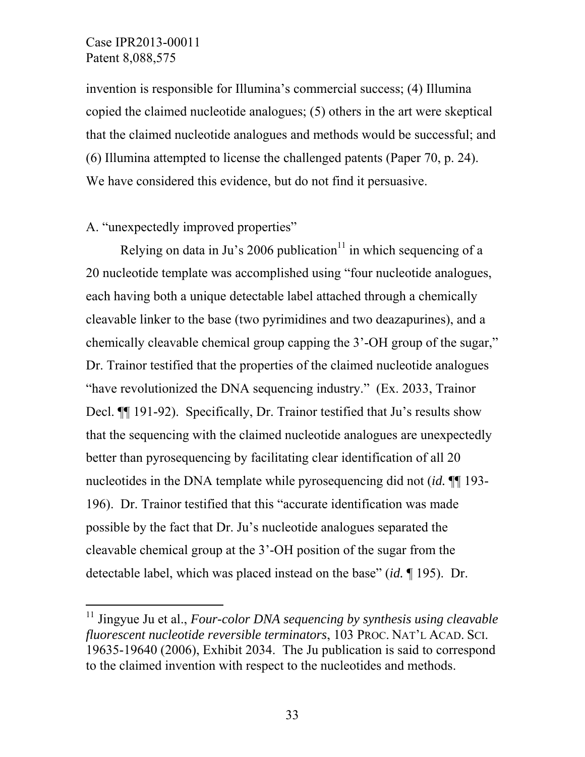l

invention is responsible for Illumina's commercial success; (4) Illumina copied the claimed nucleotide analogues; (5) others in the art were skeptical that the claimed nucleotide analogues and methods would be successful; and (6) Illumina attempted to license the challenged patents (Paper 70, p. 24). We have considered this evidence, but do not find it persuasive.

### A. "unexpectedly improved properties"

Relying on data in Ju's 2006 publication<sup>11</sup> in which sequencing of a 20 nucleotide template was accomplished using "four nucleotide analogues, each having both a unique detectable label attached through a chemically cleavable linker to the base (two pyrimidines and two deazapurines), and a chemically cleavable chemical group capping the 3'-OH group of the sugar," Dr. Trainor testified that the properties of the claimed nucleotide analogues "have revolutionized the DNA sequencing industry." (Ex. 2033, Trainor Decl. ¶¶ 191-92). Specifically, Dr. Trainor testified that Ju's results show that the sequencing with the claimed nucleotide analogues are unexpectedly better than pyrosequencing by facilitating clear identification of all 20 nucleotides in the DNA template while pyrosequencing did not (*id.* ¶¶ 193- 196). Dr. Trainor testified that this "accurate identification was made possible by the fact that Dr. Ju's nucleotide analogues separated the cleavable chemical group at the 3'-OH position of the sugar from the detectable label, which was placed instead on the base" (*id.* ¶ 195). Dr.

<sup>&</sup>lt;sup>11</sup> Jingyue Ju et al., *Four-color DNA sequencing by synthesis using cleavable fluorescent nucleotide reversible terminators*, 103 PROC. NAT'L ACAD. SCI. 19635-19640 (2006), Exhibit 2034. The Ju publication is said to correspond to the claimed invention with respect to the nucleotides and methods.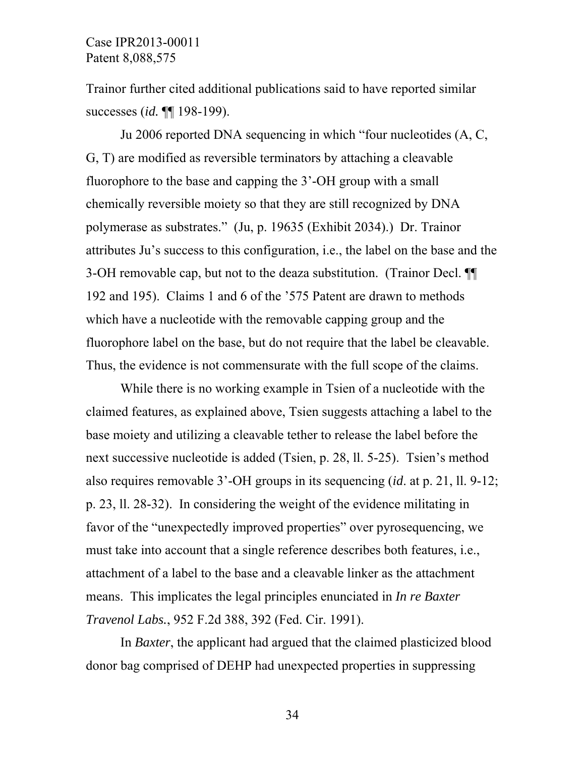Trainor further cited additional publications said to have reported similar successes (*id.* ¶¶ 198-199).

Ju 2006 reported DNA sequencing in which "four nucleotides (A, C, G, T) are modified as reversible terminators by attaching a cleavable fluorophore to the base and capping the 3'-OH group with a small chemically reversible moiety so that they are still recognized by DNA polymerase as substrates." (Ju, p. 19635 (Exhibit 2034).) Dr. Trainor attributes Ju's success to this configuration, i.e., the label on the base and the 3-OH removable cap, but not to the deaza substitution. (Trainor Decl. ¶¶ 192 and 195). Claims 1 and 6 of the '575 Patent are drawn to methods which have a nucleotide with the removable capping group and the fluorophore label on the base, but do not require that the label be cleavable. Thus, the evidence is not commensurate with the full scope of the claims.

While there is no working example in Tsien of a nucleotide with the claimed features, as explained above, Tsien suggests attaching a label to the base moiety and utilizing a cleavable tether to release the label before the next successive nucleotide is added (Tsien, p. 28, ll. 5-25). Tsien's method also requires removable 3'-OH groups in its sequencing (*id*. at p. 21, ll. 9-12; p. 23, ll. 28-32). In considering the weight of the evidence militating in favor of the "unexpectedly improved properties" over pyrosequencing, we must take into account that a single reference describes both features, i.e., attachment of a label to the base and a cleavable linker as the attachment means. This implicates the legal principles enunciated in *In re Baxter Travenol Labs.*, 952 F.2d 388, 392 (Fed. Cir. 1991).

 In *Baxter*, the applicant had argued that the claimed plasticized blood donor bag comprised of DEHP had unexpected properties in suppressing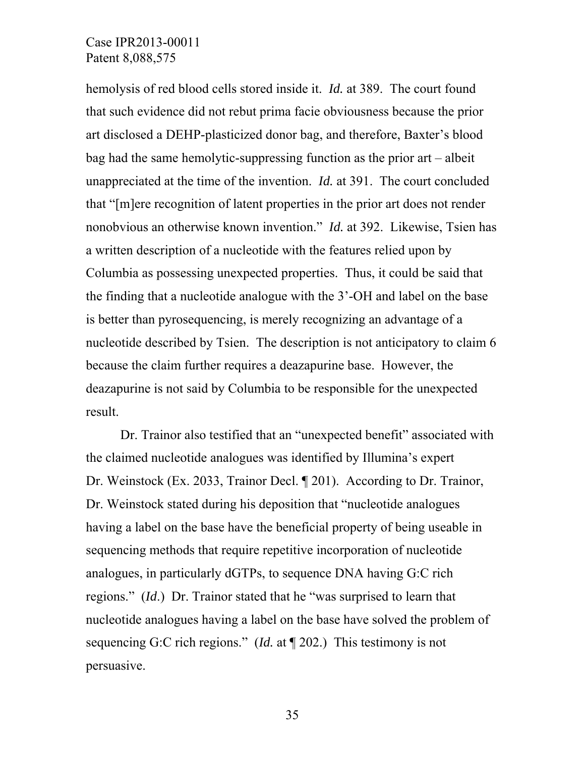hemolysis of red blood cells stored inside it. *Id.* at 389. The court found that such evidence did not rebut prima facie obviousness because the prior art disclosed a DEHP-plasticized donor bag, and therefore, Baxter's blood bag had the same hemolytic-suppressing function as the prior art – albeit unappreciated at the time of the invention. *Id.* at 391. The court concluded that "[m]ere recognition of latent properties in the prior art does not render nonobvious an otherwise known invention." *Id.* at 392. Likewise, Tsien has a written description of a nucleotide with the features relied upon by Columbia as possessing unexpected properties. Thus, it could be said that the finding that a nucleotide analogue with the 3'-OH and label on the base is better than pyrosequencing, is merely recognizing an advantage of a nucleotide described by Tsien. The description is not anticipatory to claim 6 because the claim further requires a deazapurine base. However, the deazapurine is not said by Columbia to be responsible for the unexpected result.

Dr. Trainor also testified that an "unexpected benefit" associated with the claimed nucleotide analogues was identified by Illumina's expert Dr. Weinstock (Ex. 2033, Trainor Decl. ¶ 201). According to Dr. Trainor, Dr. Weinstock stated during his deposition that "nucleotide analogues having a label on the base have the beneficial property of being useable in sequencing methods that require repetitive incorporation of nucleotide analogues, in particularly dGTPs, to sequence DNA having G:C rich regions." (*Id*.) Dr. Trainor stated that he "was surprised to learn that nucleotide analogues having a label on the base have solved the problem of sequencing G:C rich regions." (*Id.* at ¶ 202.) This testimony is not persuasive.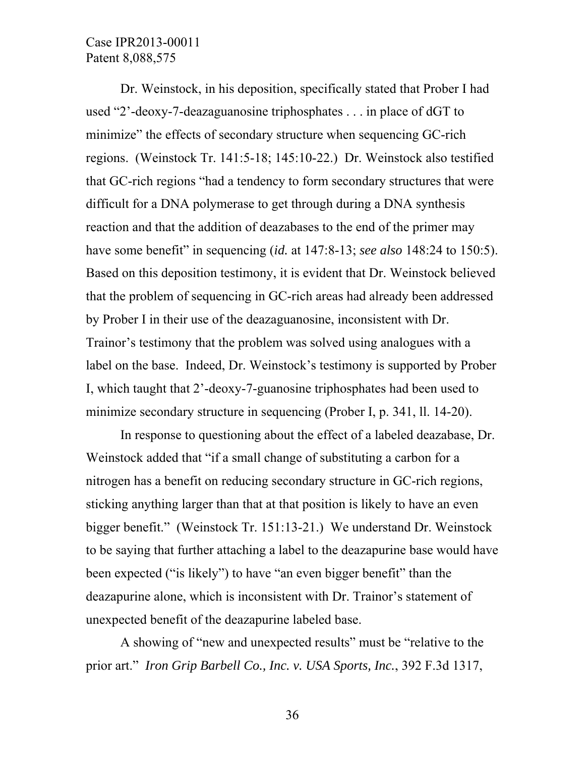Dr. Weinstock, in his deposition, specifically stated that Prober I had used "2'-deoxy-7-deazaguanosine triphosphates . . . in place of dGT to minimize" the effects of secondary structure when sequencing GC-rich regions. (Weinstock Tr. 141:5-18; 145:10-22.) Dr. Weinstock also testified that GC-rich regions "had a tendency to form secondary structures that were difficult for a DNA polymerase to get through during a DNA synthesis reaction and that the addition of deazabases to the end of the primer may have some benefit" in sequencing (*id.* at 147:8-13; *see also* 148:24 to 150:5). Based on this deposition testimony, it is evident that Dr. Weinstock believed that the problem of sequencing in GC-rich areas had already been addressed by Prober I in their use of the deazaguanosine, inconsistent with Dr. Trainor's testimony that the problem was solved using analogues with a label on the base. Indeed, Dr. Weinstock's testimony is supported by Prober I, which taught that 2'-deoxy-7-guanosine triphosphates had been used to minimize secondary structure in sequencing (Prober I, p. 341, ll. 14-20).

In response to questioning about the effect of a labeled deazabase, Dr. Weinstock added that "if a small change of substituting a carbon for a nitrogen has a benefit on reducing secondary structure in GC-rich regions, sticking anything larger than that at that position is likely to have an even bigger benefit." (Weinstock Tr. 151:13-21.) We understand Dr. Weinstock to be saying that further attaching a label to the deazapurine base would have been expected ("is likely") to have "an even bigger benefit" than the deazapurine alone, which is inconsistent with Dr. Trainor's statement of unexpected benefit of the deazapurine labeled base.

A showing of "new and unexpected results" must be "relative to the prior art." *Iron Grip Barbell Co., Inc. v. USA Sports, Inc.*, 392 F.3d 1317,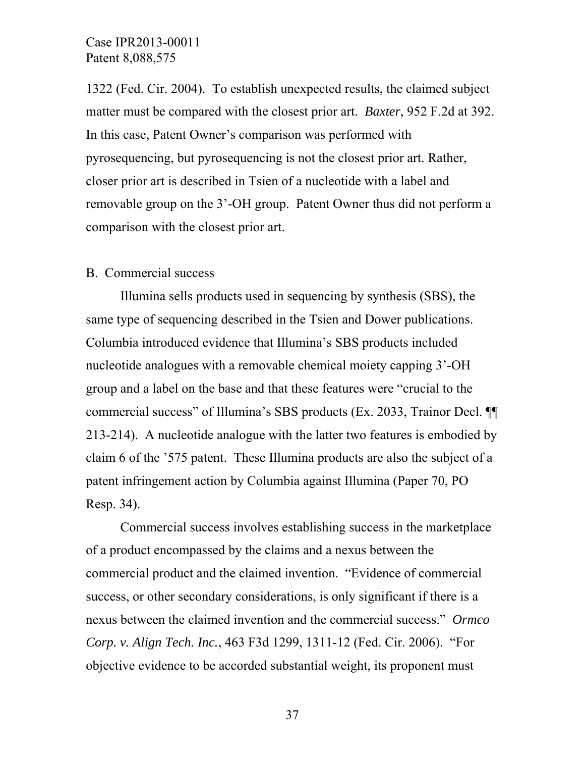1322 (Fed. Cir. 2004). To establish unexpected results, the claimed subject matter must be compared with the closest prior art. *Baxter*, 952 F.2d at 392. In this case, Patent Owner's comparison was performed with pyrosequencing, but pyrosequencing is not the closest prior art. Rather, closer prior art is described in Tsien of a nucleotide with a label and removable group on the 3'-OH group. Patent Owner thus did not perform a comparison with the closest prior art.

#### B. Commercial success

 Illumina sells products used in sequencing by synthesis (SBS), the same type of sequencing described in the Tsien and Dower publications. Columbia introduced evidence that Illumina's SBS products included nucleotide analogues with a removable chemical moiety capping 3'-OH group and a label on the base and that these features were "crucial to the commercial success" of Illumina's SBS products (Ex. 2033, Trainor Decl. ¶¶ 213-214). A nucleotide analogue with the latter two features is embodied by claim 6 of the '575 patent. These Illumina products are also the subject of a patent infringement action by Columbia against Illumina (Paper 70, PO Resp. 34).

Commercial success involves establishing success in the marketplace of a product encompassed by the claims and a nexus between the commercial product and the claimed invention. "Evidence of commercial success, or other secondary considerations, is only significant if there is a nexus between the claimed invention and the commercial success." *Ormco Corp. v. Align Tech. Inc.*, 463 F3d 1299, 1311-12 (Fed. Cir. 2006). "For objective evidence to be accorded substantial weight, its proponent must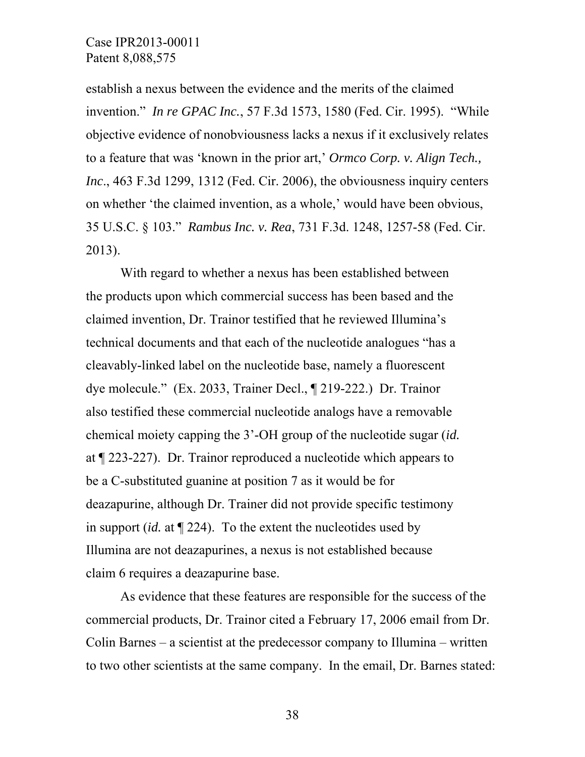establish a nexus between the evidence and the merits of the claimed invention." *In re GPAC Inc.*, 57 F.3d 1573, 1580 (Fed. Cir. 1995). "While objective evidence of nonobviousness lacks a nexus if it exclusively relates to a feature that was 'known in the prior art,' *Ormco Corp. v. Align Tech., Inc*., 463 F.3d 1299, 1312 (Fed. Cir. 2006), the obviousness inquiry centers on whether 'the claimed invention, as a whole,' would have been obvious, 35 U.S.C. § 103." *Rambus Inc. v. Rea*, 731 F.3d. 1248, 1257-58 (Fed. Cir. 2013).

With regard to whether a nexus has been established between the products upon which commercial success has been based and the claimed invention, Dr. Trainor testified that he reviewed Illumina's technical documents and that each of the nucleotide analogues "has a cleavably-linked label on the nucleotide base, namely a fluorescent dye molecule." (Ex. 2033, Trainer Decl., ¶ 219-222.) Dr. Trainor also testified these commercial nucleotide analogs have a removable chemical moiety capping the 3'-OH group of the nucleotide sugar (*id.* at ¶ 223-227). Dr. Trainor reproduced a nucleotide which appears to be a C-substituted guanine at position 7 as it would be for deazapurine, although Dr. Trainer did not provide specific testimony in support (*id.* at ¶ 224). To the extent the nucleotides used by Illumina are not deazapurines, a nexus is not established because claim 6 requires a deazapurine base.

As evidence that these features are responsible for the success of the commercial products, Dr. Trainor cited a February 17, 2006 email from Dr. Colin Barnes – a scientist at the predecessor company to Illumina – written to two other scientists at the same company. In the email, Dr. Barnes stated: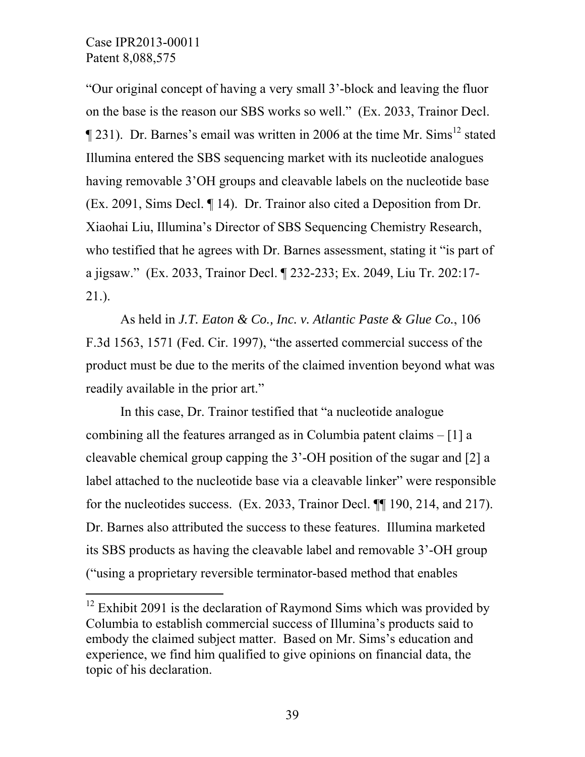$\overline{a}$ 

"Our original concept of having a very small 3'-block and leaving the fluor on the base is the reason our SBS works so well." (Ex. 2033, Trainor Decl.  $\P$  231). Dr. Barnes's email was written in 2006 at the time Mr. Sims<sup>12</sup> stated Illumina entered the SBS sequencing market with its nucleotide analogues having removable 3'OH groups and cleavable labels on the nucleotide base (Ex. 2091, Sims Decl. ¶ 14). Dr. Trainor also cited a Deposition from Dr. Xiaohai Liu, Illumina's Director of SBS Sequencing Chemistry Research, who testified that he agrees with Dr. Barnes assessment, stating it "is part of a jigsaw." (Ex. 2033, Trainor Decl. ¶ 232-233; Ex. 2049, Liu Tr. 202:17- 21.).

As held in *J.T. Eaton & Co., Inc. v. Atlantic Paste & Glue Co.*, 106 F.3d 1563, 1571 (Fed. Cir. 1997), "the asserted commercial success of the product must be due to the merits of the claimed invention beyond what was readily available in the prior art."

In this case, Dr. Trainor testified that "a nucleotide analogue combining all the features arranged as in Columbia patent claims – [1] a cleavable chemical group capping the 3'-OH position of the sugar and [2] a label attached to the nucleotide base via a cleavable linker" were responsible for the nucleotides success. (Ex. 2033, Trainor Decl. ¶¶ 190, 214, and 217). Dr. Barnes also attributed the success to these features. Illumina marketed its SBS products as having the cleavable label and removable 3'-OH group ("using a proprietary reversible terminator-based method that enables

 $12$  Exhibit 2091 is the declaration of Raymond Sims which was provided by Columbia to establish commercial success of Illumina's products said to embody the claimed subject matter. Based on Mr. Sims's education and experience, we find him qualified to give opinions on financial data, the topic of his declaration.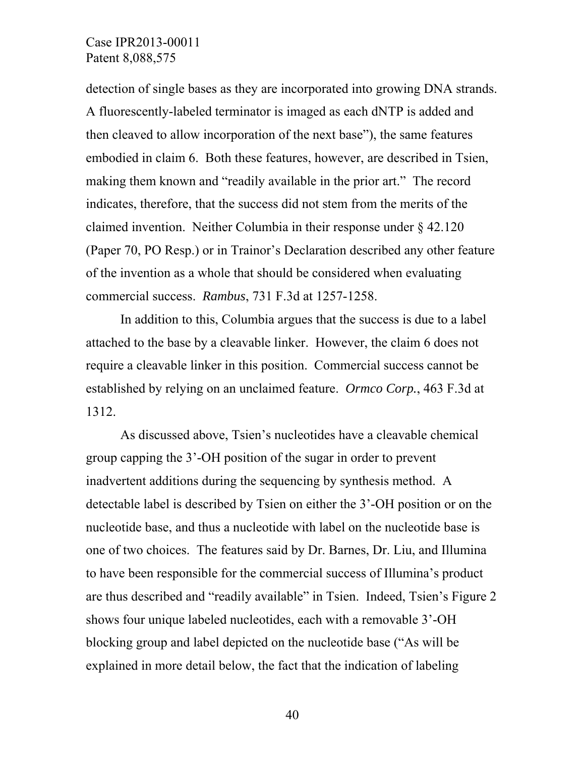detection of single bases as they are incorporated into growing DNA strands. A fluorescently-labeled terminator is imaged as each dNTP is added and then cleaved to allow incorporation of the next base"), the same features embodied in claim 6. Both these features, however, are described in Tsien, making them known and "readily available in the prior art." The record indicates, therefore, that the success did not stem from the merits of the claimed invention. Neither Columbia in their response under § 42.120 (Paper 70, PO Resp.) or in Trainor's Declaration described any other feature of the invention as a whole that should be considered when evaluating commercial success. *Rambus*, 731 F.3d at 1257-1258.

In addition to this, Columbia argues that the success is due to a label attached to the base by a cleavable linker. However, the claim 6 does not require a cleavable linker in this position. Commercial success cannot be established by relying on an unclaimed feature. *Ormco Corp.*, 463 F.3d at 1312.

As discussed above, Tsien's nucleotides have a cleavable chemical group capping the 3'-OH position of the sugar in order to prevent inadvertent additions during the sequencing by synthesis method. A detectable label is described by Tsien on either the 3'-OH position or on the nucleotide base, and thus a nucleotide with label on the nucleotide base is one of two choices. The features said by Dr. Barnes, Dr. Liu, and Illumina to have been responsible for the commercial success of Illumina's product are thus described and "readily available" in Tsien. Indeed, Tsien's Figure 2 shows four unique labeled nucleotides, each with a removable 3'-OH blocking group and label depicted on the nucleotide base ("As will be explained in more detail below, the fact that the indication of labeling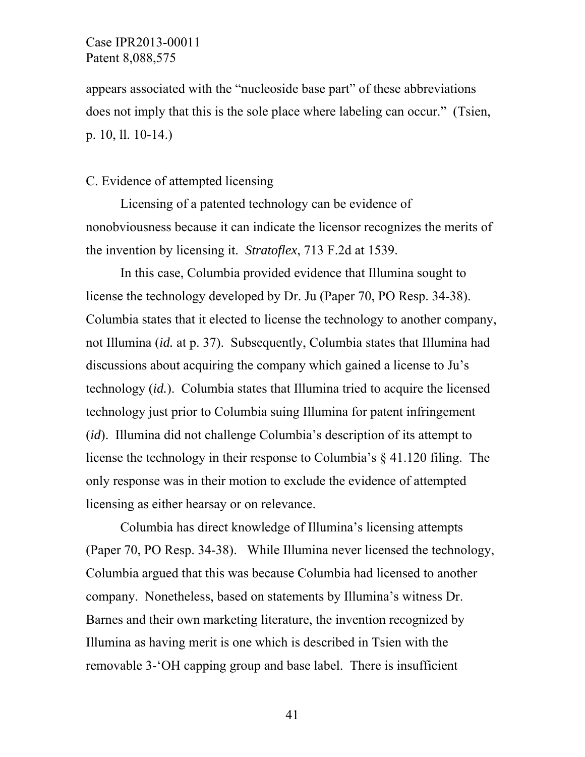appears associated with the "nucleoside base part" of these abbreviations does not imply that this is the sole place where labeling can occur." (Tsien, p. 10, ll. 10-14.)

### C. Evidence of attempted licensing

 Licensing of a patented technology can be evidence of nonobviousness because it can indicate the licensor recognizes the merits of the invention by licensing it. *Stratoflex*, 713 F.2d at 1539.

In this case, Columbia provided evidence that Illumina sought to license the technology developed by Dr. Ju (Paper 70, PO Resp. 34-38). Columbia states that it elected to license the technology to another company, not Illumina (*id.* at p. 37). Subsequently, Columbia states that Illumina had discussions about acquiring the company which gained a license to Ju's technology (*id.*). Columbia states that Illumina tried to acquire the licensed technology just prior to Columbia suing Illumina for patent infringement (*id*). Illumina did not challenge Columbia's description of its attempt to license the technology in their response to Columbia's § 41.120 filing. The only response was in their motion to exclude the evidence of attempted licensing as either hearsay or on relevance.

 Columbia has direct knowledge of Illumina's licensing attempts (Paper 70, PO Resp. 34-38). While Illumina never licensed the technology, Columbia argued that this was because Columbia had licensed to another company. Nonetheless, based on statements by Illumina's witness Dr. Barnes and their own marketing literature, the invention recognized by Illumina as having merit is one which is described in Tsien with the removable 3-'OH capping group and base label. There is insufficient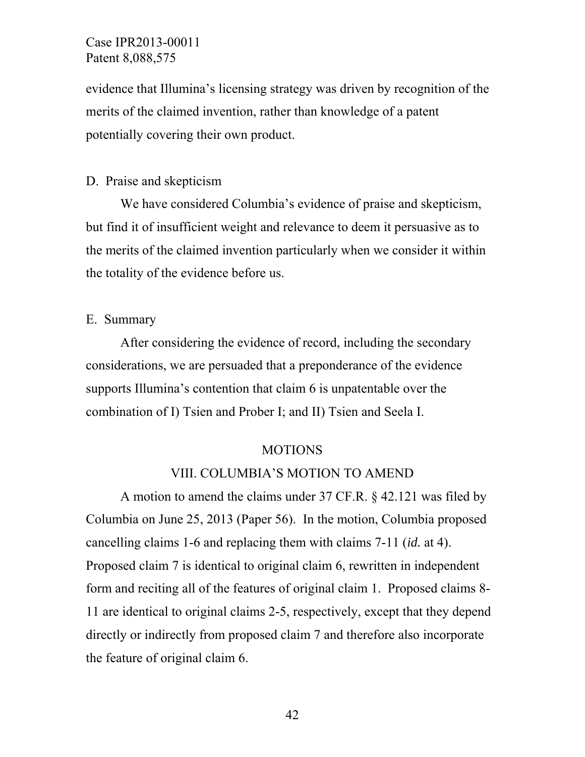evidence that Illumina's licensing strategy was driven by recognition of the merits of the claimed invention, rather than knowledge of a patent potentially covering their own product.

### D. Praise and skepticism

 We have considered Columbia's evidence of praise and skepticism, but find it of insufficient weight and relevance to deem it persuasive as to the merits of the claimed invention particularly when we consider it within the totality of the evidence before us.

#### E. Summary

 After considering the evidence of record, including the secondary considerations, we are persuaded that a preponderance of the evidence supports Illumina's contention that claim 6 is unpatentable over the combination of I) Tsien and Prober I; and II) Tsien and Seela I.

#### MOTIONS

#### VIII. COLUMBIA'S MOTION TO AMEND

 A motion to amend the claims under 37 CF.R. § 42.121 was filed by Columbia on June 25, 2013 (Paper 56). In the motion, Columbia proposed cancelling claims 1-6 and replacing them with claims 7-11 (*id.* at 4). Proposed claim 7 is identical to original claim 6, rewritten in independent form and reciting all of the features of original claim 1. Proposed claims 8- 11 are identical to original claims 2-5, respectively, except that they depend directly or indirectly from proposed claim 7 and therefore also incorporate the feature of original claim 6.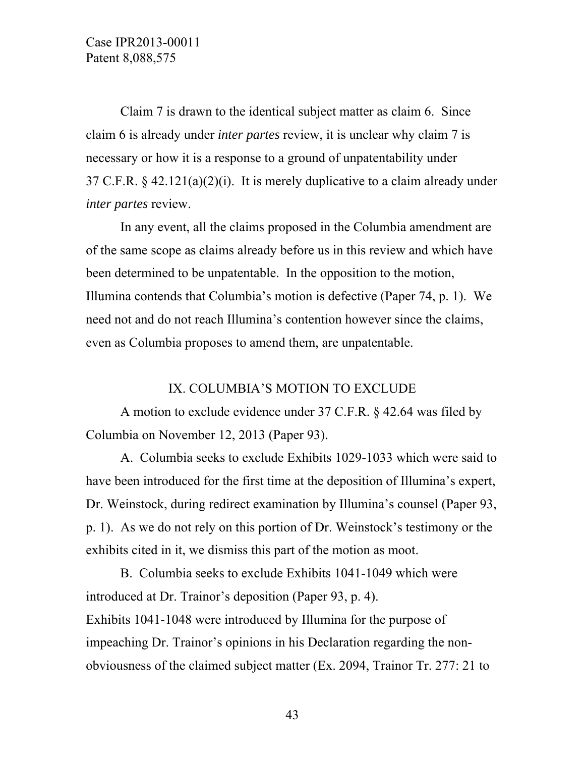Claim 7 is drawn to the identical subject matter as claim 6. Since claim 6 is already under *inter partes* review, it is unclear why claim 7 is necessary or how it is a response to a ground of unpatentability under 37 C.F.R. § 42.121(a)(2)(i). It is merely duplicative to a claim already under *inter partes* review.

In any event, all the claims proposed in the Columbia amendment are of the same scope as claims already before us in this review and which have been determined to be unpatentable. In the opposition to the motion, Illumina contends that Columbia's motion is defective (Paper 74, p. 1). We need not and do not reach Illumina's contention however since the claims, even as Columbia proposes to amend them, are unpatentable.

#### IX. COLUMBIA'S MOTION TO EXCLUDE

 A motion to exclude evidence under 37 C.F.R. § 42.64 was filed by Columbia on November 12, 2013 (Paper 93).

 A. Columbia seeks to exclude Exhibits 1029-1033 which were said to have been introduced for the first time at the deposition of Illumina's expert, Dr. Weinstock, during redirect examination by Illumina's counsel (Paper 93, p. 1). As we do not rely on this portion of Dr. Weinstock's testimony or the exhibits cited in it, we dismiss this part of the motion as moot.

 B. Columbia seeks to exclude Exhibits 1041-1049 which were introduced at Dr. Trainor's deposition (Paper 93, p. 4). Exhibits 1041-1048 were introduced by Illumina for the purpose of impeaching Dr. Trainor's opinions in his Declaration regarding the nonobviousness of the claimed subject matter (Ex. 2094, Trainor Tr. 277: 21 to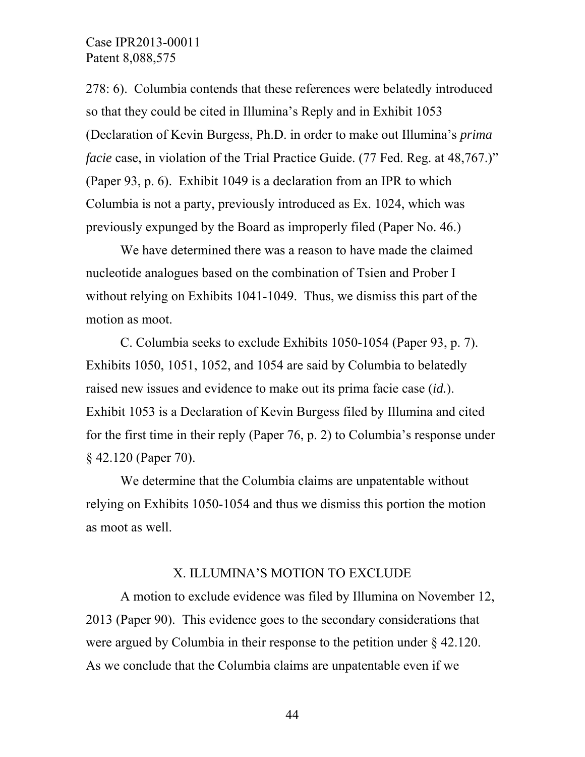278: 6). Columbia contends that these references were belatedly introduced so that they could be cited in Illumina's Reply and in Exhibit 1053 (Declaration of Kevin Burgess, Ph.D. in order to make out Illumina's *prima facie* case, in violation of the Trial Practice Guide. (77 Fed. Reg. at 48,767.)" (Paper 93, p. 6). Exhibit 1049 is a declaration from an IPR to which Columbia is not a party, previously introduced as Ex. 1024, which was previously expunged by the Board as improperly filed (Paper No. 46.)

We have determined there was a reason to have made the claimed nucleotide analogues based on the combination of Tsien and Prober I without relying on Exhibits 1041-1049. Thus, we dismiss this part of the motion as moot.

C. Columbia seeks to exclude Exhibits 1050-1054 (Paper 93, p. 7). Exhibits 1050, 1051, 1052, and 1054 are said by Columbia to belatedly raised new issues and evidence to make out its prima facie case (*id.*). Exhibit 1053 is a Declaration of Kevin Burgess filed by Illumina and cited for the first time in their reply (Paper 76, p. 2) to Columbia's response under § 42.120 (Paper 70).

We determine that the Columbia claims are unpatentable without relying on Exhibits 1050-1054 and thus we dismiss this portion the motion as moot as well.

#### X. ILLUMINA'S MOTION TO EXCLUDE

 A motion to exclude evidence was filed by Illumina on November 12, 2013 (Paper 90). This evidence goes to the secondary considerations that were argued by Columbia in their response to the petition under § 42.120. As we conclude that the Columbia claims are unpatentable even if we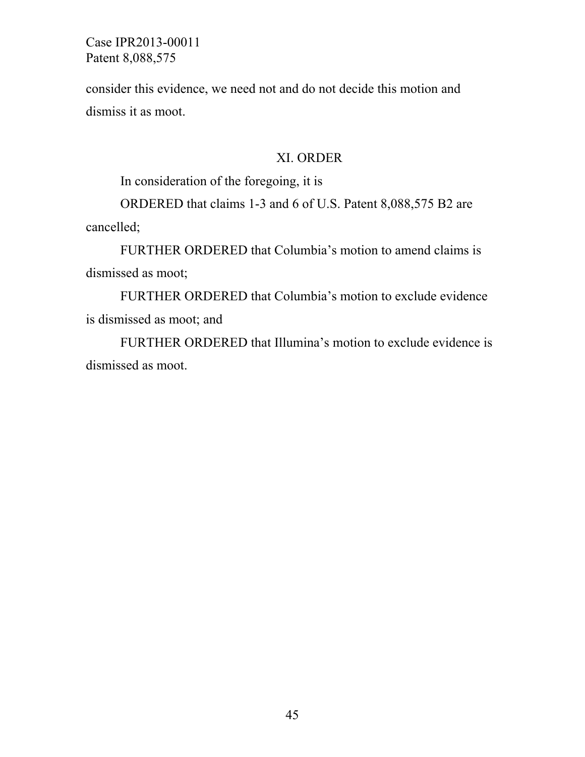consider this evidence, we need not and do not decide this motion and dismiss it as moot.

#### XI. ORDER

In consideration of the foregoing, it is

 ORDERED that claims 1-3 and 6 of U.S. Patent 8,088,575 B2 are cancelled;

 FURTHER ORDERED that Columbia's motion to amend claims is dismissed as moot;

FURTHER ORDERED that Columbia's motion to exclude evidence is dismissed as moot; and

FURTHER ORDERED that Illumina's motion to exclude evidence is dismissed as moot.